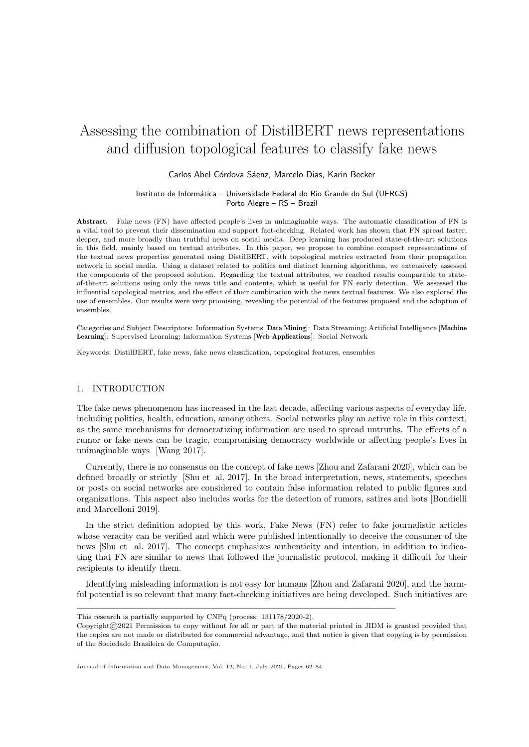# Assessing the combination of DistilBERT news representations and diffusion topological features to classify fake news

# Carlos Abel Córdova Sáenz, Marcelo Dias, Karin Becker

#### Instituto de Informática – Universidade Federal do Rio Grande do Sul (UFRGS) Porto Alegre – RS – Brazil

Abstract. Fake news (FN) have affected people's lives in unimaginable ways. The automatic classification of FN is a vital tool to prevent their dissemination and support fact-checking. Related work has shown that FN spread faster, deeper, and more broadly than truthful news on social media. Deep learning has produced state-of-the-art solutions in this field, mainly based on textual attributes. In this paper, we propose to combine compact representations of the textual news properties generated using DistilBERT, with topological metrics extracted from their propagation network in social media. Using a dataset related to politics and distinct learning algorithms, we extensively assessed the components of the proposed solution. Regarding the textual attributes, we reached results comparable to stateof-the-art solutions using only the news title and contents, which is useful for FN early detection. We assessed the influential topological metrics, and the effect of their combination with the news textual features. We also explored the use of ensembles. Our results were very promising, revealing the potential of the features proposed and the adoption of ensembles.

Categories and Subject Descriptors: Information Systems [Data Mining]: Data Streaming; Artificial Intelligence [Machine Learning]: Supervised Learning; Information Systems [Web Applications]: Social Network

Keywords: DistilBERT, fake news, fake news classification, topological features, ensembles

#### 1. INTRODUCTION

The fake news phenomenon has increased in the last decade, affecting various aspects of everyday life, including politics, health, education, among others. Social networks play an active role in this context, as the same mechanisms for democratizing information are used to spread untruths. The effects of a rumor or fake news can be tragic, compromising democracy worldwide or affecting people's lives in unimaginable ways [Wang 2017].

Currently, there is no consensus on the concept of fake news [Zhou and Zafarani 2020], which can be defined broadly or strictly [Shu et al. 2017]. In the broad interpretation, news, statements, speeches or posts on social networks are considered to contain false information related to public figures and organizations. This aspect also includes works for the detection of rumors, satires and bots [Bondielli and Marcelloni 2019].

In the strict definition adopted by this work, Fake News (FN) refer to fake journalistic articles whose veracity can be verified and which were published intentionally to deceive the consumer of the news [Shu et al. 2017]. The concept emphasizes authenticity and intention, in addition to indicating that FN are similar to news that followed the journalistic protocol, making it difficult for their recipients to identify them.

Identifying misleading information is not easy for humans [Zhou and Zafarani 2020], and the harmful potential is so relevant that many fact-checking initiatives are being developed. Such initiatives are

This research is partially supported by CNPq (process: 131178/2020-2).

Copyright©2021 Permission to copy without fee all or part of the material printed in JIDM is granted provided that the copies are not made or distributed for commercial advantage, and that notice is given that copying is by permission of the Sociedade Brasileira de Computação.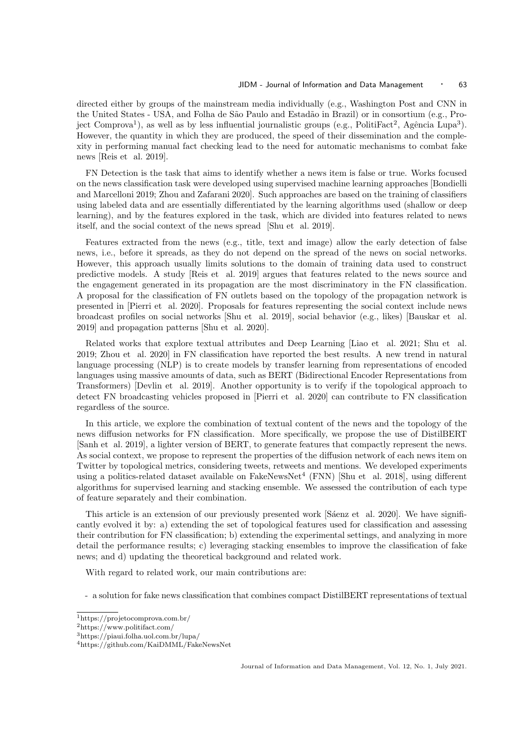directed either by groups of the mainstream media individually (e.g., Washington Post and CNN in the United States - USA, and Folha de São Paulo and Estadão in Brazil) or in consortium (e.g., Project Comprova<sup>1</sup>), as well as by less influential journalistic groups (e.g., PolitiFact<sup>2</sup>, Agência Lupa<sup>3</sup>). However, the quantity in which they are produced, the speed of their dissemination and the complexity in performing manual fact checking lead to the need for automatic mechanisms to combat fake news [Reis et al. 2019].

FN Detection is the task that aims to identify whether a news item is false or true. Works focused on the news classification task were developed using supervised machine learning approaches [Bondielli and Marcelloni 2019; Zhou and Zafarani 2020]. Such approaches are based on the training of classifiers using labeled data and are essentially differentiated by the learning algorithms used (shallow or deep learning), and by the features explored in the task, which are divided into features related to news itself, and the social context of the news spread [Shu et al. 2019].

Features extracted from the news (e.g., title, text and image) allow the early detection of false news, i.e., before it spreads, as they do not depend on the spread of the news on social networks. However, this approach usually limits solutions to the domain of training data used to construct predictive models. A study [Reis et al. 2019] argues that features related to the news source and the engagement generated in its propagation are the most discriminatory in the FN classification. A proposal for the classification of FN outlets based on the topology of the propagation network is presented in [Pierri et al. 2020]. Proposals for features representing the social context include news broadcast profiles on social networks [Shu et al. 2019], social behavior (e.g., likes) [Bauskar et al. 2019] and propagation patterns [Shu et al. 2020].

Related works that explore textual attributes and Deep Learning [Liao et al. 2021; Shu et al. 2019; Zhou et al. 2020] in FN classification have reported the best results. A new trend in natural language processing (NLP) is to create models by transfer learning from representations of encoded languages using massive amounts of data, such as BERT (Bidirectional Encoder Representations from Transformers) [Devlin et al. 2019]. Another opportunity is to verify if the topological approach to detect FN broadcasting vehicles proposed in [Pierri et al. 2020] can contribute to FN classification regardless of the source.

In this article, we explore the combination of textual content of the news and the topology of the news diffusion networks for FN classification. More specifically, we propose the use of DistilBERT [Sanh et al. 2019], a lighter version of BERT, to generate features that compactly represent the news. As social context, we propose to represent the properties of the diffusion network of each news item on Twitter by topological metrics, considering tweets, retweets and mentions. We developed experiments using a politics-related dataset available on  $FakeNewsNet^4$  (FNN) [Shu et al. 2018], using different algorithms for supervised learning and stacking ensemble. We assessed the contribution of each type of feature separately and their combination.

This article is an extension of our previously presented work [Sáenz et al. 2020]. We have significantly evolved it by: a) extending the set of topological features used for classification and assessing their contribution for FN classification; b) extending the experimental settings, and analyzing in more detail the performance results; c) leveraging stacking ensembles to improve the classification of fake news; and d) updating the theoretical background and related work.

With regard to related work, our main contributions are:

- a solution for fake news classification that combines compact DistilBERT representations of textual

<sup>1</sup>https://projetocomprova.com.br/

<sup>2</sup>https://www.politifact.com/

<sup>3</sup>https://piaui.folha.uol.com.br/lupa/

<sup>4</sup>https://github.com/KaiDMML/FakeNewsNet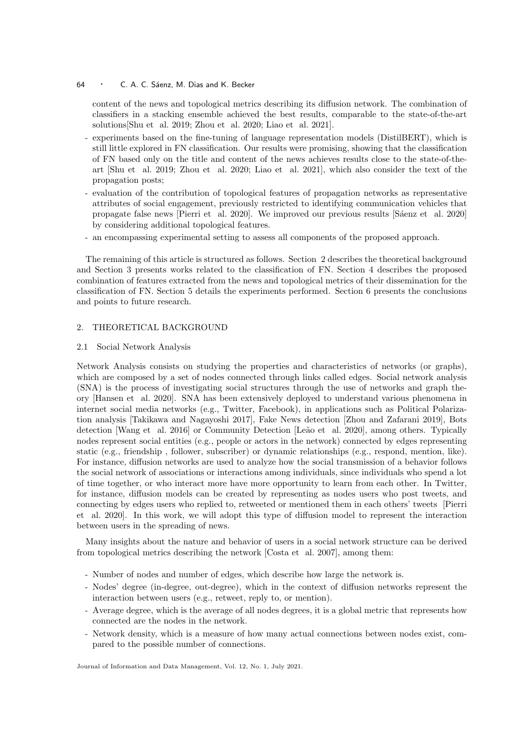content of the news and topological metrics describing its diffusion network. The combination of classifiers in a stacking ensemble achieved the best results, comparable to the state-of-the-art solutions[Shu et al. 2019; Zhou et al. 2020; Liao et al. 2021].

- experiments based on the fine-tuning of language representation models (DistilBERT), which is still little explored in FN classification. Our results were promising, showing that the classification of FN based only on the title and content of the news achieves results close to the state-of-theart [Shu et al. 2019; Zhou et al. 2020; Liao et al. 2021], which also consider the text of the propagation posts;
- evaluation of the contribution of topological features of propagation networks as representative attributes of social engagement, previously restricted to identifying communication vehicles that propagate false news [Pierri et al. 2020]. We improved our previous results [Sáenz et al. 2020] by considering additional topological features.
- an encompassing experimental setting to assess all components of the proposed approach.

The remaining of this article is structured as follows. Section 2 describes the theoretical background and Section 3 presents works related to the classification of FN. Section 4 describes the proposed combination of features extracted from the news and topological metrics of their dissemination for the classification of FN. Section 5 details the experiments performed. Section 6 presents the conclusions and points to future research.

# 2. THEORETICAL BACKGROUND

#### 2.1 Social Network Analysis

Network Analysis consists on studying the properties and characteristics of networks (or graphs), which are composed by a set of nodes connected through links called edges. Social network analysis (SNA) is the process of investigating social structures through the use of networks and graph theory [Hansen et al. 2020]. SNA has been extensively deployed to understand various phenomena in internet social media networks (e.g., Twitter, Facebook), in applications such as Political Polarization analysis [Takikawa and Nagayoshi 2017], Fake News detection [Zhou and Zafarani 2019], Bots detection [Wang et al. 2016] or Community Detection [Leão et al. 2020], among others. Typically nodes represent social entities (e.g., people or actors in the network) connected by edges representing static (e.g., friendship , follower, subscriber) or dynamic relationships (e.g., respond, mention, like). For instance, diffusion networks are used to analyze how the social transmission of a behavior follows the social network of associations or interactions among individuals, since individuals who spend a lot of time together, or who interact more have more opportunity to learn from each other. In Twitter, for instance, diffusion models can be created by representing as nodes users who post tweets, and connecting by edges users who replied to, retweeted or mentioned them in each others' tweets [Pierri et al. 2020]. In this work, we will adopt this type of diffusion model to represent the interaction between users in the spreading of news.

Many insights about the nature and behavior of users in a social network structure can be derived from topological metrics describing the network [Costa et al. 2007], among them:

- Number of nodes and number of edges, which describe how large the network is.
- Nodes' degree (in-degree, out-degree), which in the context of diffusion networks represent the interaction between users (e.g., retweet, reply to, or mention).
- Average degree, which is the average of all nodes degrees, it is a global metric that represents how connected are the nodes in the network.
- Network density, which is a measure of how many actual connections between nodes exist, compared to the possible number of connections.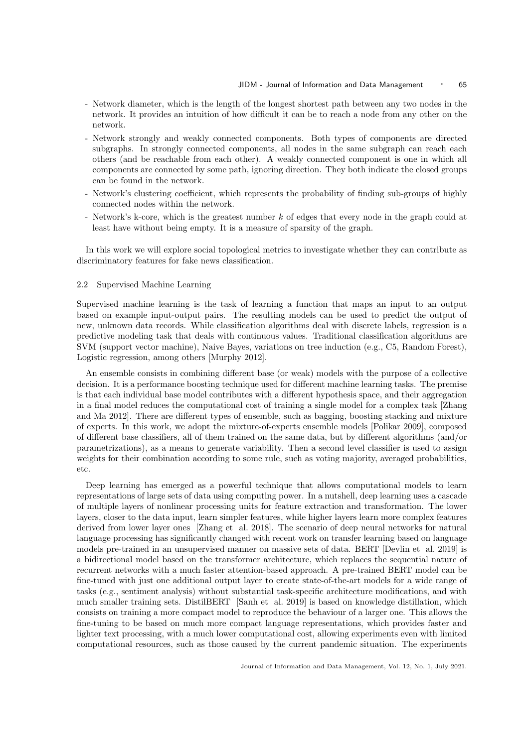- Network diameter, which is the length of the longest shortest path between any two nodes in the network. It provides an intuition of how difficult it can be to reach a node from any other on the network.
- Network strongly and weakly connected components. Both types of components are directed subgraphs. In strongly connected components, all nodes in the same subgraph can reach each others (and be reachable from each other). A weakly connected component is one in which all components are connected by some path, ignoring direction. They both indicate the closed groups can be found in the network.
- Network's clustering coefficient, which represents the probability of finding sub-groups of highly connected nodes within the network.
- Network's k-core, which is the greatest number k of edges that every node in the graph could at least have without being empty. It is a measure of sparsity of the graph.

In this work we will explore social topological metrics to investigate whether they can contribute as discriminatory features for fake news classification.

#### 2.2 Supervised Machine Learning

Supervised machine learning is the task of learning a function that maps an input to an output based on example input-output pairs. The resulting models can be used to predict the output of new, unknown data records. While classification algorithms deal with discrete labels, regression is a predictive modeling task that deals with continuous values. Traditional classification algorithms are SVM (support vector machine), Naive Bayes, variations on tree induction (e.g., C5, Random Forest), Logistic regression, among others [Murphy 2012].

An ensemble consists in combining different base (or weak) models with the purpose of a collective decision. It is a performance boosting technique used for different machine learning tasks. The premise is that each individual base model contributes with a different hypothesis space, and their aggregation in a final model reduces the computational cost of training a single model for a complex task [Zhang and Ma 2012]. There are different types of ensemble, such as bagging, boosting stacking and mixture of experts. In this work, we adopt the mixture-of-experts ensemble models [Polikar 2009], composed of different base classifiers, all of them trained on the same data, but by different algorithms (and/or parametrizations), as a means to generate variability. Then a second level classifier is used to assign weights for their combination according to some rule, such as voting majority, averaged probabilities, etc.

Deep learning has emerged as a powerful technique that allows computational models to learn representations of large sets of data using computing power. In a nutshell, deep learning uses a cascade of multiple layers of nonlinear processing units for feature extraction and transformation. The lower layers, closer to the data input, learn simpler features, while higher layers learn more complex features derived from lower layer ones [Zhang et al. 2018]. The scenario of deep neural networks for natural language processing has significantly changed with recent work on transfer learning based on language models pre-trained in an unsupervised manner on massive sets of data. BERT [Devlin et al. 2019] is a bidirectional model based on the transformer architecture, which replaces the sequential nature of recurrent networks with a much faster attention-based approach. A pre-trained BERT model can be fine-tuned with just one additional output layer to create state-of-the-art models for a wide range of tasks (e.g., sentiment analysis) without substantial task-specific architecture modifications, and with much smaller training sets. DistilBERT [Sanh et al. 2019] is based on knowledge distillation, which consists on training a more compact model to reproduce the behaviour of a larger one. This allows the fine-tuning to be based on much more compact language representations, which provides faster and lighter text processing, with a much lower computational cost, allowing experiments even with limited computational resources, such as those caused by the current pandemic situation. The experiments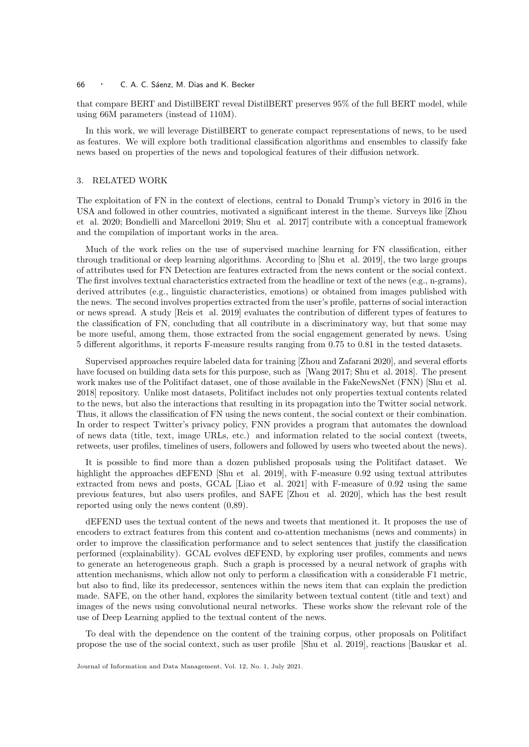that compare BERT and DistilBERT reveal DistilBERT preserves 95% of the full BERT model, while using 66M parameters (instead of 110M).

In this work, we will leverage DistilBERT to generate compact representations of news, to be used as features. We will explore both traditional classification algorithms and ensembles to classify fake news based on properties of the news and topological features of their diffusion network.

#### 3. RELATED WORK

The exploitation of FN in the context of elections, central to Donald Trump's victory in 2016 in the USA and followed in other countries, motivated a significant interest in the theme. Surveys like [Zhou et al. 2020; Bondielli and Marcelloni 2019; Shu et al. 2017] contribute with a conceptual framework and the compilation of important works in the area.

Much of the work relies on the use of supervised machine learning for FN classification, either through traditional or deep learning algorithms. According to [Shu et al. 2019], the two large groups of attributes used for FN Detection are features extracted from the news content or the social context. The first involves textual characteristics extracted from the headline or text of the news (e.g., n-grams), derived attributes (e.g., linguistic characteristics, emotions) or obtained from images published with the news. The second involves properties extracted from the user's profile, patterns of social interaction or news spread. A study [Reis et al. 2019] evaluates the contribution of different types of features to the classification of FN, concluding that all contribute in a discriminatory way, but that some may be more useful, among them, those extracted from the social engagement generated by news. Using 5 different algorithms, it reports F-measure results ranging from 0.75 to 0.81 in the tested datasets.

Supervised approaches require labeled data for training [Zhou and Zafarani 2020], and several efforts have focused on building data sets for this purpose, such as [Wang 2017; Shu et al. 2018]. The present work makes use of the Politifact dataset, one of those available in the FakeNewsNet (FNN) [Shu et al. 2018] repository. Unlike most datasets, Politifact includes not only properties textual contents related to the news, but also the interactions that resulting in its propagation into the Twitter social network. Thus, it allows the classification of FN using the news content, the social context or their combination. In order to respect Twitter's privacy policy, FNN provides a program that automates the download of news data (title, text, image URLs, etc.) and information related to the social context (tweets, retweets, user profiles, timelines of users, followers and followed by users who tweeted about the news).

It is possible to find more than a dozen published proposals using the Politifact dataset. We highlight the approaches dEFEND [Shu et al. 2019], with F-measure 0.92 using textual attributes extracted from news and posts, GCAL [Liao et al. 2021] with F-measure of 0.92 using the same previous features, but also users profiles, and SAFE [Zhou et al. 2020], which has the best result reported using only the news content (0,89).

dEFEND uses the textual content of the news and tweets that mentioned it. It proposes the use of encoders to extract features from this content and co-attention mechanisms (news and comments) in order to improve the classification performance and to select sentences that justify the classification performed (explainability). GCAL evolves dEFEND, by exploring user profiles, comments and news to generate an heterogeneous graph. Such a graph is processed by a neural network of graphs with attention mechanisms, which allow not only to perform a classification with a considerable F1 metric, but also to find, like its predecessor, sentences within the news item that can explain the prediction made. SAFE, on the other hand, explores the similarity between textual content (title and text) and images of the news using convolutional neural networks. These works show the relevant role of the use of Deep Learning applied to the textual content of the news.

To deal with the dependence on the content of the training corpus, other proposals on Politifact propose the use of the social context, such as user profile [Shu et al. 2019], reactions [Bauskar et al.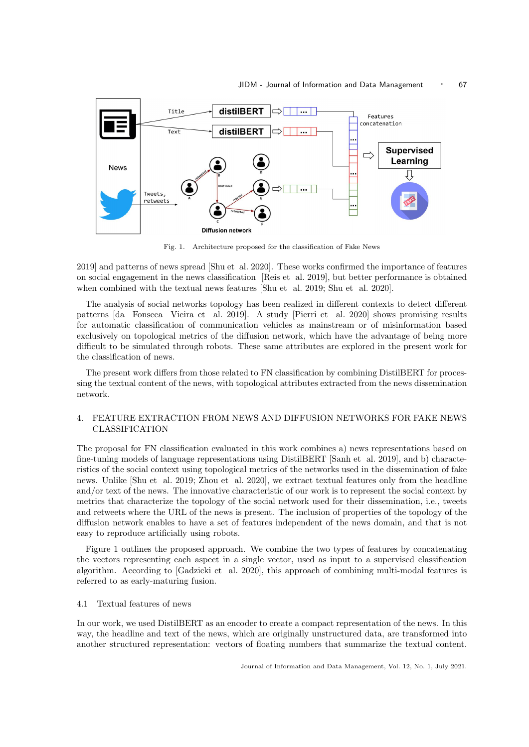

Fig. 1. Architecture proposed for the classification of Fake News

2019] and patterns of news spread [Shu et al. 2020]. These works confirmed the importance of features on social engagement in the news classification [Reis et al. 2019], but better performance is obtained when combined with the textual news features [Shu et al. 2019; Shu et al. 2020].

The analysis of social networks topology has been realized in different contexts to detect different patterns [da Fonseca Vieira et al. 2019]. A study [Pierri et al. 2020] shows promising results for automatic classification of communication vehicles as mainstream or of misinformation based exclusively on topological metrics of the diffusion network, which have the advantage of being more difficult to be simulated through robots. These same attributes are explored in the present work for the classification of news.

The present work differs from those related to FN classification by combining DistilBERT for processing the textual content of the news, with topological attributes extracted from the news dissemination network.

# 4. FEATURE EXTRACTION FROM NEWS AND DIFFUSION NETWORKS FOR FAKE NEWS CLASSIFICATION

The proposal for FN classification evaluated in this work combines a) news representations based on fine-tuning models of language representations using DistilBERT [Sanh et al. 2019], and b) characteristics of the social context using topological metrics of the networks used in the dissemination of fake news. Unlike [Shu et al. 2019; Zhou et al. 2020], we extract textual features only from the headline and/or text of the news. The innovative characteristic of our work is to represent the social context by metrics that characterize the topology of the social network used for their dissemination, i.e., tweets and retweets where the URL of the news is present. The inclusion of properties of the topology of the diffusion network enables to have a set of features independent of the news domain, and that is not easy to reproduce artificially using robots.

Figure 1 outlines the proposed approach. We combine the two types of features by concatenating the vectors representing each aspect in a single vector, used as input to a supervised classification algorithm. According to [Gadzicki et al. 2020], this approach of combining multi-modal features is referred to as early-maturing fusion.

#### 4.1 Textual features of news

In our work, we used DistilBERT as an encoder to create a compact representation of the news. In this way, the headline and text of the news, which are originally unstructured data, are transformed into another structured representation: vectors of floating numbers that summarize the textual content.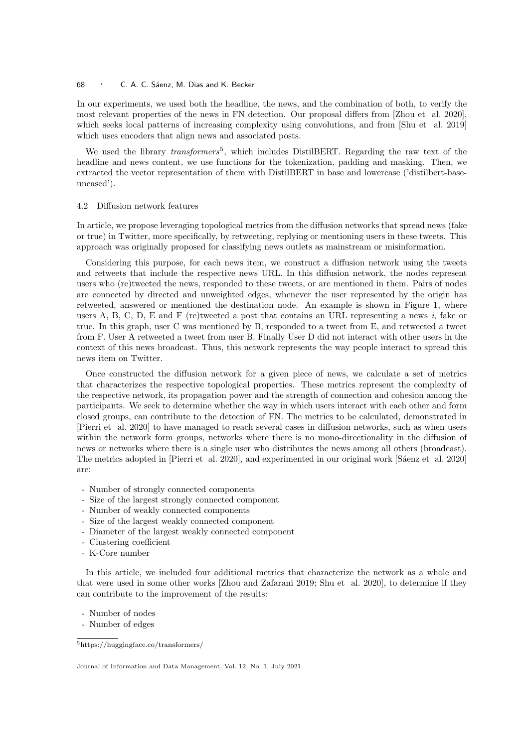In our experiments, we used both the headline, the news, and the combination of both, to verify the most relevant properties of the news in FN detection. Our proposal differs from [Zhou et al. 2020], which seeks local patterns of increasing complexity using convolutions, and from [Shu et al. 2019] which uses encoders that align news and associated posts.

We used the library transformers<sup>5</sup>, which includes DistilBERT. Regarding the raw text of the headline and news content, we use functions for the tokenization, padding and masking. Then, we extracted the vector representation of them with DistilBERT in base and lowercase ('distilbert-baseuncased').

#### 4.2 Diffusion network features

In article, we propose leveraging topological metrics from the diffusion networks that spread news (fake or true) in Twitter, more specifically, by retweeting, replying or mentioning users in these tweets. This approach was originally proposed for classifying news outlets as mainstream or misinformation.

Considering this purpose, for each news item, we construct a diffusion network using the tweets and retweets that include the respective news URL. In this diffusion network, the nodes represent users who (re)tweeted the news, responded to these tweets, or are mentioned in them. Pairs of nodes are connected by directed and unweighted edges, whenever the user represented by the origin has retweeted, answered or mentioned the destination node. An example is shown in Figure 1, where users A, B, C, D, E and F (re)tweeted a post that contains an URL representing a news  $i$ , fake or true. In this graph, user C was mentioned by B, responded to a tweet from E, and retweeted a tweet from F. User A retweeted a tweet from user B. Finally User D did not interact with other users in the context of this news broadcast. Thus, this network represents the way people interact to spread this news item on Twitter.

Once constructed the diffusion network for a given piece of news, we calculate a set of metrics that characterizes the respective topological properties. These metrics represent the complexity of the respective network, its propagation power and the strength of connection and cohesion among the participants. We seek to determine whether the way in which users interact with each other and form closed groups, can contribute to the detection of FN. The metrics to be calculated, demonstrated in [Pierri et al. 2020] to have managed to reach several cases in diffusion networks, such as when users within the network form groups, networks where there is no mono-directionality in the diffusion of news or networks where there is a single user who distributes the news among all others (broadcast). The metrics adopted in [Pierri et al. 2020], and experimented in our original work [Sáenz et al. 2020] are:

- Number of strongly connected components
- Size of the largest strongly connected component
- Number of weakly connected components
- Size of the largest weakly connected component
- Diameter of the largest weakly connected component
- Clustering coefficient
- K-Core number

In this article, we included four additional metrics that characterize the network as a whole and that were used in some other works [Zhou and Zafarani 2019; Shu et al. 2020], to determine if they can contribute to the improvement of the results:

- Number of nodes

- Number of edges

<sup>5</sup>https://huggingface.co/transformers/

Journal of Information and Data Management, Vol. 12, No. 1, July 2021.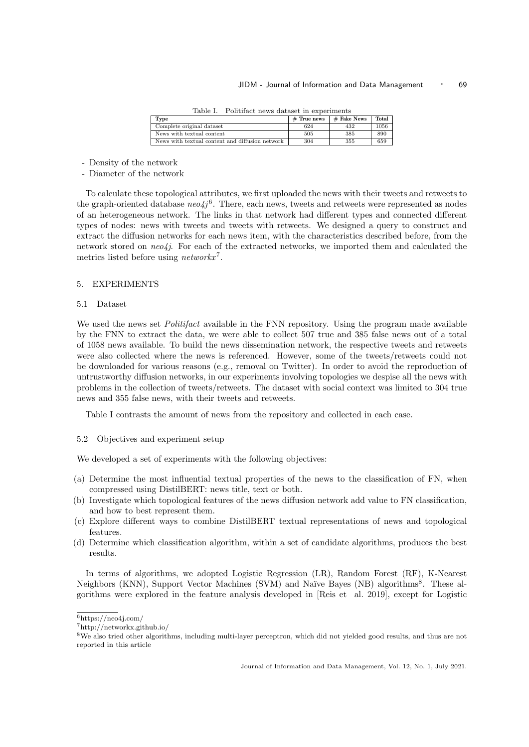Table I. Politifact news dataset in experiments

| Type                                            | $#$ True news | $#$ Fake News | Total |
|-------------------------------------------------|---------------|---------------|-------|
| Complete original dataset                       | 624           | 432           | 1056  |
| News with textual content                       | 505           | 385           | 890   |
| News with textual content and diffusion network | 304           | 355           | 659   |

- Density of the network

- Diameter of the network

To calculate these topological attributes, we first uploaded the news with their tweets and retweets to the graph-oriented database  $neo4j^6$ . There, each news, tweets and retweets were represented as nodes of an heterogeneous network. The links in that network had different types and connected different types of nodes: news with tweets and tweets with retweets. We designed a query to construct and extract the diffusion networks for each news item, with the characteristics described before, from the network stored on  $neo4j$ . For each of the extracted networks, we imported them and calculated the metrics listed before using  $networkx^7$ .

#### 5. EXPERIMENTS

#### 5.1 Dataset

We used the news set *Politifact* available in the FNN repository. Using the program made available by the FNN to extract the data, we were able to collect 507 true and 385 false news out of a total of 1058 news available. To build the news dissemination network, the respective tweets and retweets were also collected where the news is referenced. However, some of the tweets/retweets could not be downloaded for various reasons (e.g., removal on Twitter). In order to avoid the reproduction of untrustworthy diffusion networks, in our experiments involving topologies we despise all the news with problems in the collection of tweets/retweets. The dataset with social context was limited to 304 true news and 355 false news, with their tweets and retweets.

Table I contrasts the amount of news from the repository and collected in each case.

#### 5.2 Objectives and experiment setup

We developed a set of experiments with the following objectives:

- (a) Determine the most influential textual properties of the news to the classification of FN, when compressed using DistilBERT: news title, text or both.
- (b) Investigate which topological features of the news diffusion network add value to FN classification, and how to best represent them.
- (c) Explore different ways to combine DistilBERT textual representations of news and topological features.
- (d) Determine which classification algorithm, within a set of candidate algorithms, produces the best results.

In terms of algorithms, we adopted Logistic Regression (LR), Random Forest (RF), K-Nearest Neighbors (KNN), Support Vector Machines (SVM) and Naïve Bayes (NB) algorithms<sup>8</sup>. These algorithms were explored in the feature analysis developed in [Reis et al. 2019], except for Logistic

 $6$ https://neo4j.com/

<sup>7</sup>http://networkx.github.io/

<sup>&</sup>lt;sup>8</sup>We also tried other algorithms, including multi-layer perceptron, which did not yielded good results, and thus are not reported in this article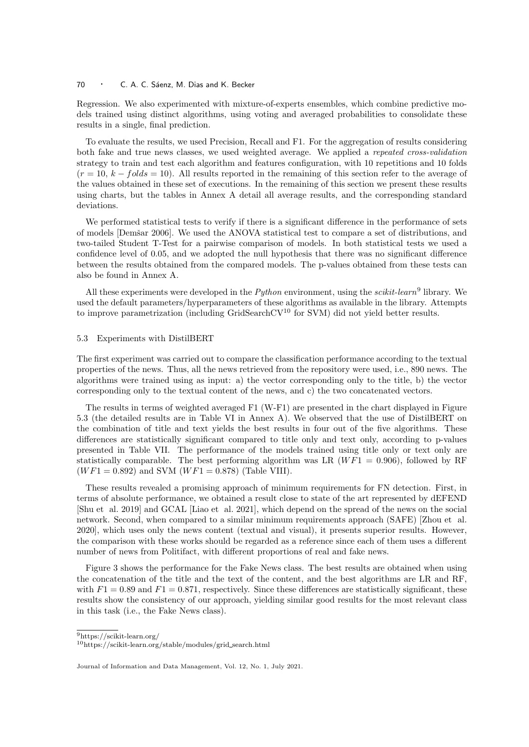Regression. We also experimented with mixture-of-experts ensembles, which combine predictive models trained using distinct algorithms, using voting and averaged probabilities to consolidate these results in a single, final prediction.

To evaluate the results, we used Precision, Recall and F1. For the aggregation of results considering both fake and true news classes, we used weighted average. We applied a repeated cross-validation strategy to train and test each algorithm and features configuration, with 10 repetitions and 10 folds  $(r = 10, k - folds = 10)$ . All results reported in the remaining of this section refer to the average of the values obtained in these set of executions. In the remaining of this section we present these results using charts, but the tables in Annex A detail all average results, and the corresponding standard deviations.

We performed statistical tests to verify if there is a significant difference in the performance of sets of models [Demšar 2006]. We used the ANOVA statistical test to compare a set of distributions, and two-tailed Student T-Test for a pairwise comparison of models. In both statistical tests we used a confidence level of 0.05, and we adopted the null hypothesis that there was no significant difference between the results obtained from the compared models. The p-values obtained from these tests can also be found in Annex A.

All these experiments were developed in the *Python* environment, using the *scikit-learn*<sup>9</sup> library. We used the default parameters/hyperparameters of these algorithms as available in the library. Attempts to improve parametrization (including GridSearchCV<sup>10</sup> for SVM) did not yield better results.

#### 5.3 Experiments with DistilBERT

The first experiment was carried out to compare the classification performance according to the textual properties of the news. Thus, all the news retrieved from the repository were used, i.e., 890 news. The algorithms were trained using as input: a) the vector corresponding only to the title, b) the vector corresponding only to the textual content of the news, and c) the two concatenated vectors.

The results in terms of weighted averaged F1 (W-F1) are presented in the chart displayed in Figure 5.3 (the detailed results are in Table VI in Annex A). We observed that the use of DistilBERT on the combination of title and text yields the best results in four out of the five algorithms. These differences are statistically significant compared to title only and text only, according to p-values presented in Table VII. The performance of the models trained using title only or text only are statistically comparable. The best performing algorithm was LR  $(WF1 = 0.906)$ , followed by RF  $(WF1 = 0.892)$  and SVM  $(WF1 = 0.878)$  (Table VIII).

These results revealed a promising approach of minimum requirements for FN detection. First, in terms of absolute performance, we obtained a result close to state of the art represented by dEFEND [Shu et al. 2019] and GCAL [Liao et al. 2021], which depend on the spread of the news on the social network. Second, when compared to a similar minimum requirements approach (SAFE) [Zhou et al. 2020], which uses only the news content (textual and visual), it presents superior results. However, the comparison with these works should be regarded as a reference since each of them uses a different number of news from Politifact, with different proportions of real and fake news.

Figure 3 shows the performance for the Fake News class. The best results are obtained when using the concatenation of the title and the text of the content, and the best algorithms are LR and RF, with  $F1 = 0.89$  and  $F1 = 0.871$ , respectively. Since these differences are statistically significant, these results show the consistency of our approach, yielding similar good results for the most relevant class in this task (i.e., the Fake News class).

<sup>9</sup>https://scikit-learn.org/

<sup>10</sup>https://scikit-learn.org/stable/modules/grid search.html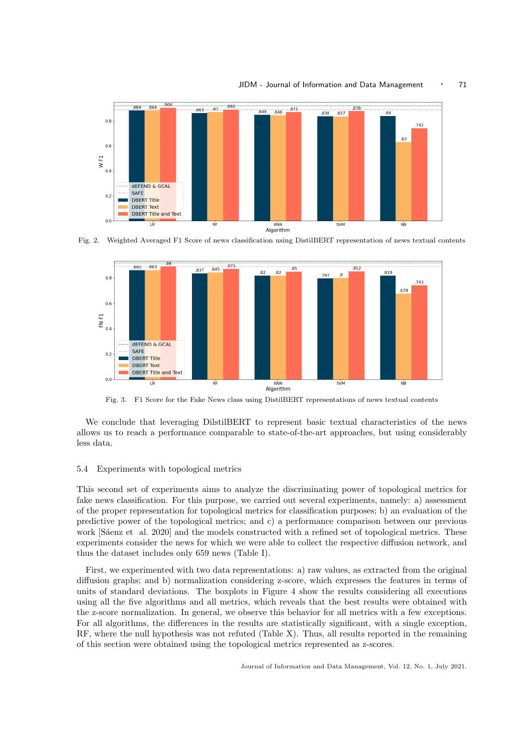#### JIDM - Journal of Information and Data Management • 71



Fig. 2. Weighted Averaged F1 Score of news classification using DistilBERT representation of news textual contents



Fig. 3. F1 Score for the Fake News class using DistilBERT representations of news textual contents

We conclude that leveraging DilstilBERT to represent basic textual characteristics of the news allows us to reach a performance comparable to state-of-the-art approaches, but using considerably less data.

#### 5.4 Experiments with topological metrics

This second set of experiments aims to analyze the discriminating power of topological metrics for fake news classification. For this purpose, we carried out several experiments, namely: a) assessment of the proper representation for topological metrics for classification purposes; b) an evaluation of the predictive power of the topological metrics; and c) a performance comparison between our previous work [Saenz et al. 2020] and the models constructed with a refined set of topological metrics. These experiments consider the news for which we were able to collect the respective diffusion network, and thus the dataset includes only 659 news (Table I).

First, we experimented with two data representations: a) raw values, as extracted from the original diffusion graphs; and b) normalization considering z-score, which expresses the features in terms of units of standard deviations. The boxplots in Figure 4 show the results considering all executions using all the five algorithms and all metrics, which reveals that the best results were obtained with the z-score normalization. In general, we observe this behavior for all metrics with a few exceptions. For all algorithms, the differences in the results are statistically significant, with a single exception, RF, where the null hypothesis was not refuted (Table X). Thus, all results reported in the remaining of this section were obtained using the topological metrics represented as z-scores.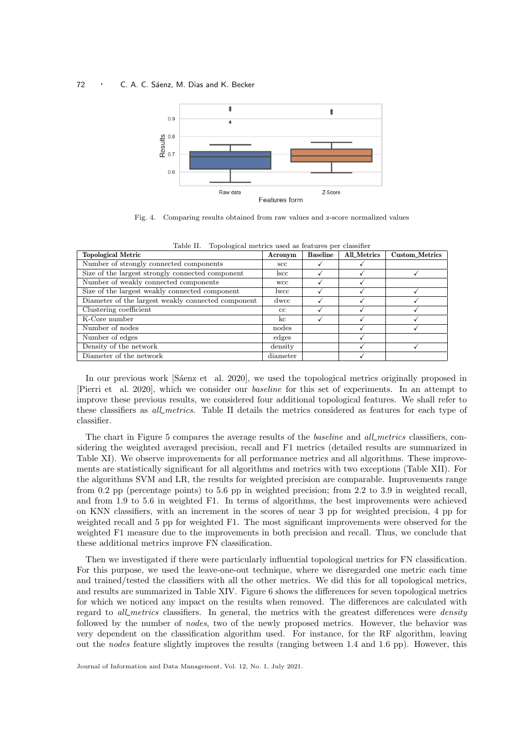

Fig. 4. Comparing results obtained from raw values and z-score normalized values

| rable II.<br>Topological metrics used as features per classifier |          |                 |             |                       |  |  |  |  |  |
|------------------------------------------------------------------|----------|-----------------|-------------|-----------------------|--|--|--|--|--|
| <b>Topological Metric</b>                                        | Acronym  | <b>Baseline</b> | All_Metrics | <b>Custom_Metrics</b> |  |  |  |  |  |
| Number of strongly connected components                          | $\sec$   |                 |             |                       |  |  |  |  |  |
| Size of the largest strongly connected component                 | lscc.    |                 |             |                       |  |  |  |  |  |
| Number of weakly connected components                            | wcc.     |                 |             |                       |  |  |  |  |  |
| Size of the largest weakly connected component                   | lwcc     |                 |             |                       |  |  |  |  |  |
| Diameter of the largest weakly connected component               | dwcc     |                 |             |                       |  |  |  |  |  |
| Clustering coefficient                                           | cc       |                 |             |                       |  |  |  |  |  |
| K-Core number                                                    | kc       |                 |             |                       |  |  |  |  |  |
| Number of nodes                                                  | nodes    |                 |             |                       |  |  |  |  |  |
| Number of edges                                                  | edges    |                 |             |                       |  |  |  |  |  |
| Density of the network                                           | density  |                 |             |                       |  |  |  |  |  |
| Diameter of the network                                          | diameter |                 |             |                       |  |  |  |  |  |

Table II. Topological metrics used as features per classifier

In our previous work [Saenz et al. 2020], we used the topological metrics originally proposed in [Pierri et al. 2020], which we consider our baseline for this set of experiments. In an attempt to improve these previous results, we considered four additional topological features. We shall refer to these classifiers as *all metrics*. Table II details the metrics considered as features for each type of classifier.

The chart in Figure 5 compares the average results of the *baseline* and *all metrics* classifiers, considering the weighted averaged precision, recall and F1 metrics (detailed results are summarized in Table XI). We observe improvements for all performance metrics and all algorithms. These improvements are statistically significant for all algorithms and metrics with two exceptions (Table XII). For the algorithms SVM and LR, the results for weighted precision are comparable. Improvements range from 0.2 pp (percentage points) to 5.6 pp in weighted precision; from 2.2 to 3.9 in weighted recall, and from 1.9 to 5.6 in weighted F1. In terms of algorithms, the best improvements were achieved on KNN classifiers, with an increment in the scores of near 3 pp for weighted precision, 4 pp for weighted recall and 5 pp for weighted F1. The most significant improvements were observed for the weighted F1 measure due to the improvements in both precision and recall. Thus, we conclude that these additional metrics improve FN classification.

Then we investigated if there were particularly influential topological metrics for FN classification. For this purpose, we used the leave-one-out technique, where we disregarded one metric each time and trained/tested the classifiers with all the other metrics. We did this for all topological metrics, and results are summarized in Table XIV. Figure 6 shows the differences for seven topological metrics for which we noticed any impact on the results when removed. The differences are calculated with regard to *all metrics* classifiers. In general, the metrics with the greatest differences were *density* followed by the number of nodes, two of the newly proposed metrics. However, the behavior was very dependent on the classification algorithm used. For instance, for the RF algorithm, leaving out the nodes feature slightly improves the results (ranging between 1.4 and 1.6 pp). However, this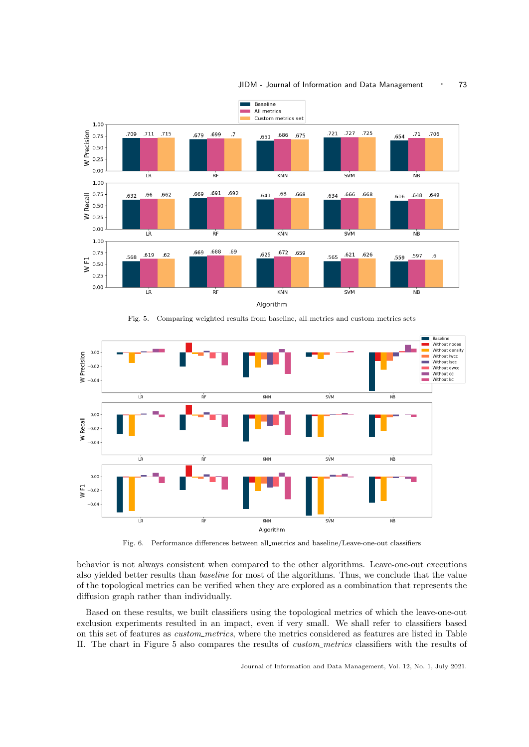

Fig. 5. Comparing weighted results from baseline, all metrics and custom metrics sets



Fig. 6. Performance differences between all metrics and baseline/Leave-one-out classifiers

behavior is not always consistent when compared to the other algorithms. Leave-one-out executions also yielded better results than baseline for most of the algorithms. Thus, we conclude that the value of the topological metrics can be verified when they are explored as a combination that represents the diffusion graph rather than individually.

Based on these results, we built classifiers using the topological metrics of which the leave-one-out exclusion experiments resulted in an impact, even if very small. We shall refer to classifiers based on this set of features as *custom\_metrics*, where the metrics considered as features are listed in Table II. The chart in Figure 5 also compares the results of custom metrics classifiers with the results of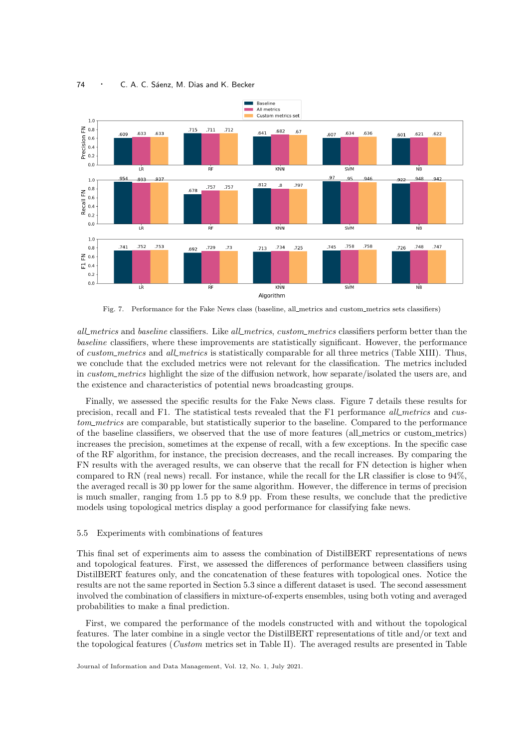

Fig. 7. Performance for the Fake News class (baseline, all metrics and custom metrics sets classifiers)

all metrics and baseline classifiers. Like all metrics, custom metrics classifiers perform better than the baseline classifiers, where these improvements are statistically significant. However, the performance of custom metrics and all metrics is statistically comparable for all three metrics (Table XIII). Thus, we conclude that the excluded metrics were not relevant for the classification. The metrics included in custom metrics highlight the size of the diffusion network, how separate/isolated the users are, and the existence and characteristics of potential news broadcasting groups.

Finally, we assessed the specific results for the Fake News class. Figure 7 details these results for precision, recall and F1. The statistical tests revealed that the F1 performance all metrics and custom metrics are comparable, but statistically superior to the baseline. Compared to the performance of the baseline classifiers, we observed that the use of more features (all metrics or custom metrics) increases the precision, sometimes at the expense of recall, with a few exceptions. In the specific case of the RF algorithm, for instance, the precision decreases, and the recall increases. By comparing the FN results with the averaged results, we can observe that the recall for FN detection is higher when compared to RN (real news) recall. For instance, while the recall for the LR classifier is close to 94%, the averaged recall is 30 pp lower for the same algorithm. However, the difference in terms of precision is much smaller, ranging from 1.5 pp to 8.9 pp. From these results, we conclude that the predictive models using topological metrics display a good performance for classifying fake news.

#### 5.5 Experiments with combinations of features

This final set of experiments aim to assess the combination of DistilBERT representations of news and topological features. First, we assessed the differences of performance between classifiers using DistilBERT features only, and the concatenation of these features with topological ones. Notice the results are not the same reported in Section 5.3 since a different dataset is used. The second assessment involved the combination of classifiers in mixture-of-experts ensembles, using both voting and averaged probabilities to make a final prediction.

First, we compared the performance of the models constructed with and without the topological features. The later combine in a single vector the DistilBERT representations of title and/or text and the topological features (Custom metrics set in Table II). The averaged results are presented in Table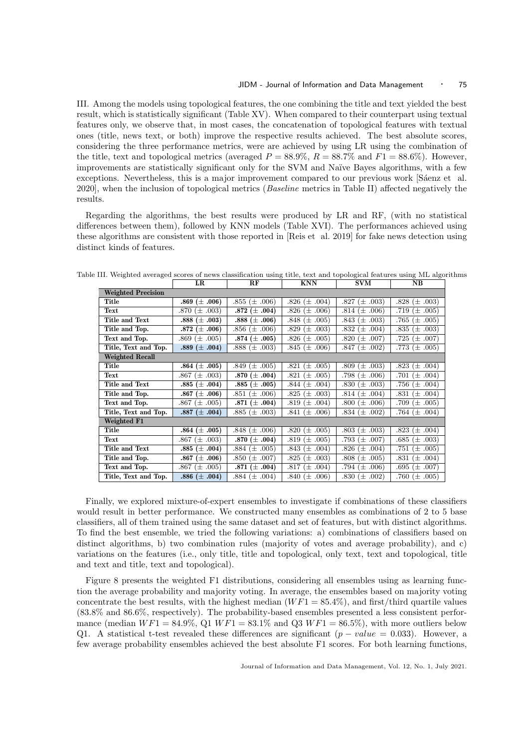III. Among the models using topological features, the one combining the title and text yielded the best result, which is statistically significant (Table XV). When compared to their counterpart using textual features only, we observe that, in most cases, the concatenation of topological features with textual ones (title, news text, or both) improve the respective results achieved. The best absolute scores, considering the three performance metrics, were are achieved by using LR using the combination of the title, text and topological metrics (averaged  $P = 88.9\%, R = 88.7\%$  and  $F1 = 88.6\%$ ). However, improvements are statistically significant only for the SVM and Naïve Bayes algorithms, with a few exceptions. Nevertheless, this is a major improvement compared to our previous work [Sáenz et al. 2020], when the inclusion of topological metrics (Baseline metrics in Table II) affected negatively the results.

Regarding the algorithms, the best results were produced by LR and RF, (with no statistical differences between them), followed by KNN models (Table XVI). The performances achieved using these algorithms are consistent with those reported in [Reis et al. 2019] for fake news detection using distinct kinds of features.

|                           | LR                | RF                  | <b>KNN</b>             | SVM                     | NB.                    |
|---------------------------|-------------------|---------------------|------------------------|-------------------------|------------------------|
| <b>Weighted Precision</b> |                   |                     |                        |                         |                        |
| Title                     | .869 $(\pm .006)$ | .855 $(\pm .006)$   | .826 $(\pm .004)$      | .827 $(\pm .003)$       | .828 $(\pm .003)$      |
| Text                      | .870 $(\pm .003)$ | .872 $(\pm .004)$   | .826 $(\pm .006)$      | .814 $(\pm .006)$       | .719 $(\pm .005)$      |
| Title and Text            | .888 $(\pm .003)$ | .888 $(\pm .006)$   | $(\pm .005)$<br>.848   | .843 $(\pm .003)$       | .765 (<br>$\pm .005$   |
| Title and Top.            | .872 $(\pm .006)$ | .856 $(\pm .006)$   | $(\pm .003)$<br>.829   | .832 $(\pm .004)$       | .835 $(\pm .003)$      |
| Text and Top.             | .869 $(\pm .005)$ | .874 $(\pm .005)$   | .826 $(\pm .005)$      | .820 $(\pm .007)$       | .725 $(\pm .007)$      |
| Title, Text and Top.      | .889 $(\pm .004)$ | $.888 \ (\pm .003)$ | .845 $(\pm .006)$      | .847 $(\pm .002)$       | .773 $(\pm .005)$      |
| <b>Weighted Recall</b>    |                   |                     |                        |                         |                        |
| Title                     | .864 $(\pm .005)$ | .849 $(\pm .005)$   | .821 $(\pm .005)$      | .809 $(\pm .003)$       | .823 $(\pm .004)$      |
| Text                      | .867 $(\pm .003)$ | .870 $(\pm .004)$   | .821 $(\pm .005)$      | .798 $(\pm .006)$       | .701 $(\pm .004)$      |
| Title and Text            | .885 $(\pm .004)$ | $.885~(\pm .005)$   | .844 $(\pm .004)$      | .830 $(\pm .003)$       | .756 $(\pm .004)$      |
| Title and Top.            | .867 $(\pm .006)$ | .851 $(\pm .006)$   | .825 $(\pm .003)$      | .814 $(\pm .004)$       | .831 $(\pm .004)$      |
| Text and Top.             | .867 $(\pm .005)$ | .871 $(\pm .004)$   | .819 $(\pm .004)$      | .800 $(\pm .006)$       | .709 $(\pm .005)$      |
| Title, Text and Top.      | .887 $(\pm .004)$ | $.885 \ (\pm .003)$ | .841 $(\pm .006)$      | .834 $(\pm .002)$       | .764 $(\pm .004)$      |
| Weighted F1               |                   |                     |                        |                         |                        |
| Title                     | .864 $(\pm .005)$ | $.848 \ (\pm .006)$ | .820 $(\pm .005)$      | $.803~(\pm .003)$       | .823 $(\pm .004)$      |
| Text                      | .867 $(\pm .003)$ | .870 $(\pm .004)$   | .819 $(\pm .005)$      | .793 $(\pm .007)$       | $.685 (\pm .003)$      |
| Title and Text            | .885 $(\pm .004)$ | $.884 \ (\pm .005)$ | .843<br>.004)<br>(土    | .826<br>.004)<br>$(\pm$ | .005)<br>.751<br>$\pm$ |
| Title and Top.            | .867 $(\pm .006)$ | .850 $(\pm .007)$   | .825 (<br>$(\pm .003)$ | .808 ( $\pm$<br>.005)   | .831 $(\pm .004)$      |
| Text and Top.             | .867 $(\pm .005)$ | .871 $(\pm .004)$   | $(\pm .004)$<br>.817   | .794 (±<br>.006)        | .695 $(\pm .007)$      |
| Title, Text and Top.      | .886 $(\pm .004)$ | $.884~(\pm .004)$   | .840 $(\pm .006)$      | .830 $(\pm .002)$       | .760 $(\pm .005)$      |

Table III. Weighted averaged scores of news classification using title, text and topological features using ML algorithms

Finally, we explored mixture-of-expert ensembles to investigate if combinations of these classifiers would result in better performance. We constructed many ensembles as combinations of 2 to 5 base classifiers, all of them trained using the same dataset and set of features, but with distinct algorithms. To find the best ensemble, we tried the following variations: a) combinations of classifiers based on distinct algorithms, b) two combination rules (majority of votes and average probability), and c) variations on the features (i.e., only title, title and topological, only text, text and topological, title and text and title, text and topological).

Figure 8 presents the weighted F1 distributions, considering all ensembles using as learning function the average probability and majority voting. In average, the ensembles based on majority voting concentrate the best results, with the highest median  $(WF1 = 85.4\%)$ , and first/third quartile values (83.8% and 86.6%, respectively). The probability-based ensembles presented a less consistent performance (median  $WF1 = 84.9\%,$  Q1  $WF1 = 83.1\%$  and Q3  $WF1 = 86.5\%$ ), with more outliers below Q1. A statistical t-test revealed these differences are significant  $(p - value = 0.033)$ . However, a few average probability ensembles achieved the best absolute F1 scores. For both learning functions,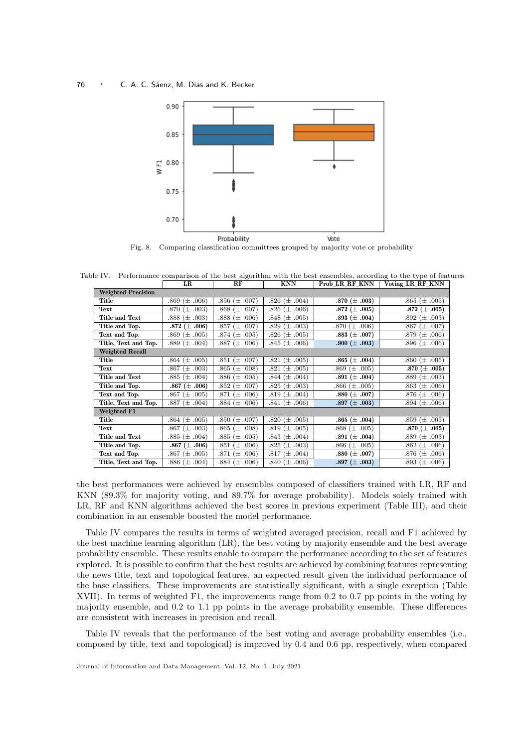

Fig. 8. Comparing classification committees grouped by majority vote or probability

Table IV. Performance comparison of the best algorithm with the best ensembles, according to the type of features LR RF KNN Prob LR RF KNN Voting LR RF KNN

| Weighted Precision             |                         |                       |                       |                     |                       |
|--------------------------------|-------------------------|-----------------------|-----------------------|---------------------|-----------------------|
| Title                          | .006)<br>.869<br>$(\pm$ | .856 ( $\pm$<br>.007) | .826 $(\pm .004)$     | $.870\ (\pm\ .003)$ | $(\pm .005)$<br>.865  |
| Text                           | .870 $(\pm .003)$       | .868 $(\pm .007)$     | .826 $(\pm .006)$     | $.872\ (\pm\ .005)$ | .872 $(\pm .005)$     |
| Title and Text                 | $.888 \ (\pm .003)$     | .888 ( $\pm$<br>.006) | .848 $(\pm .005)$     | .893 $(\pm .004)$   | .892 $(\pm .003)$     |
| Title and Top.                 | .872 $(\pm .006)$       | .857 $(\pm .007)$     | $.829 \ (\pm .003)$   | .870 $(\pm .006)$   | .867<br>$(\pm$ .007)  |
| Text and Top.                  | .869 $(\pm .005)$       | .874 ( $\pm$<br>.005) | .826 ( $\pm$<br>.005) | $.883\ (\pm .007)$  | .879<br>.006)<br>(±   |
| Title, Text and Top.           | .889 ( $\pm$ .004)      | .887 $(\pm .006)$     | $.845 \ (\pm .006)$   | $.900\ (\pm .003)$  | .896 $(\pm .006)$     |
| <b>Weighted Recall</b>         |                         |                       |                       |                     |                       |
| Title                          | .864 ( $\pm$ .005)      | .851 $(\pm .007)$     | .821 (<br>$\pm .005$  | $.865~(\pm~.004)$   | .860 ( $\pm$ .005)    |
| $\operatorname{\mathbf{Text}}$ | .867 (±<br>.003)        | .865 ( $\pm$<br>.008) | .821 $(\pm$<br>.005)  | .869 ( $\pm$ .005)  | .870 $(\pm .005)$     |
| Title and Text                 | $(\pm .004)$<br>.885    | .886 ( $\pm$<br>.005) | $\pm .004$<br>.844 (  | $.891\ (\pm\ .004)$ | .889<br>$(\pm\ .003)$ |
| Title and Top.                 | .867 $(\pm .006)$       | .852 ( $\pm$<br>.007) | $.825 \ (\pm .003)$   | .866 ( $\pm$ .005)  | .863 ( $\pm$ .006)    |
| Text and Top.                  | .867 $(\pm .005)$       | $.871~(\pm)$<br>.006) | .819 ( $\pm$<br>.004) | $.880\ (\pm\ .007)$ | .876 $(\pm .006)$     |
| Title, Text and Top.           | .887 $(\pm .004)$       | .884 $(\pm .006)$     | .841 $(\pm .006)$     | .897 ( $\pm$ .003)  | .894 ( $\pm$ .006)    |
| Weighted F1                    |                         |                       |                       |                     |                       |
| Title                          | .864 $(\pm .005)$       | .850 $(\pm .007)$     | .820 $(\pm .005)$     | $.865~(\pm~.004)$   | $(\pm .005)$<br>.859  |
| Text                           | .867 $(\pm .003)$       | .865 $(\pm .008)$     | $.819 \ (\pm .005)$   | .868 ( $\pm$ .005)  | $.870\ (\pm\ .005)$   |
| Title and Text                 | .885 ( $\pm$ .004)      | .885 ( $\pm$<br>.005) | .843 $(\pm .004)$     | $.891\ (\pm\ .004)$ | ( $\pm$ .003)<br>.889 |
| Title and Top.                 | .867 $(\pm .006)$       | .851 ( $\pm$<br>.006) | .825 $(\pm .003)$     | .866 ( $\pm$ .005)  | .862<br>$(\pm .006)$  |
| Text and Top.                  | .867 $(\pm .005)$       | .871 ( $\pm$<br>.006) | $.817~(\pm)$<br>.004) | $.880\ (\pm\ .007)$ | .876 $(\pm .006)$     |
| Title, Text and Top.           | .886 ( $\pm$ .004)      | .884 $(\pm .006)$     | .840 $(\pm .006)$     | $.897~(\pm~.003)$   | .893 ( $\pm$ .006)    |

the best performances were achieved by ensembles composed of classifiers trained with LR, RF and KNN (89.3% for majority voting, and 89.7% for average probability). Models solely trained with LR, RF and KNN algorithms achieved the best scores in previous experiment (Table III), and their combination in an ensemble boosted the model performance.

Table IV compares the results in terms of weighted averaged precision, recall and F1 achieved by the best machine learning algorithm (LR), the best voting by majority ensemble and the best average probability ensemble. These results enable to compare the performance according to the set of features explored. It is possible to confirm that the best results are achieved by combining features representing the news title, text and topological features, an expected result given the individual performance of the base classifiers. These improvements are statistically significant, with a single exception (Table XVII). In terms of weighted F1, the improvements range from 0.2 to 0.7 pp points in the voting by majority ensemble, and 0.2 to 1.1 pp points in the average probability ensemble. These differences are consistent with increases in precision and recall.

Table IV reveals that the performance of the best voting and average probability ensembles (i.e., composed by title, text and topological) is improved by 0.4 and 0.6 pp, respectively, when compared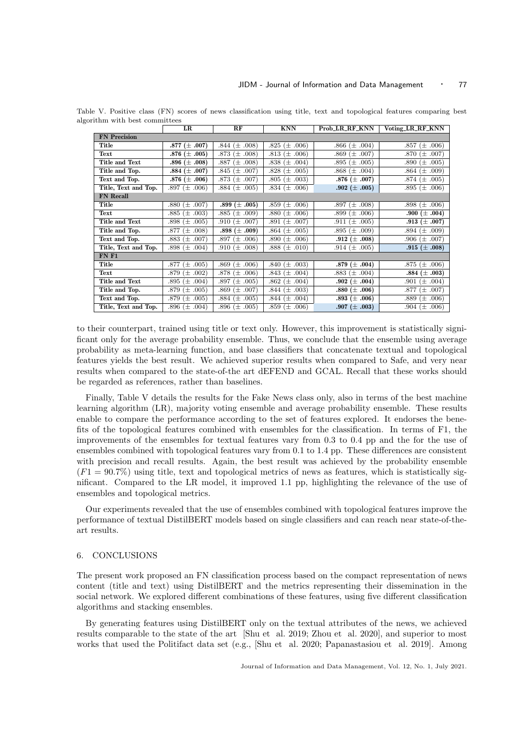|                      | LR                      | RF                  | <b>KNN</b>          | Prob LR RF KNN       | Voting_LR_RF_KNN      |
|----------------------|-------------------------|---------------------|---------------------|----------------------|-----------------------|
| <b>FN</b> Precision  |                         |                     |                     |                      |                       |
| Title                | .877 $(\pm .007)$       | .844 $(\pm .008)$   | $.825 \ (\pm .006)$ | .866 $(\pm .004)$    | .006)<br>.857<br>(土   |
| Text                 | .876 $(\pm .005)$       | .873 $(\pm .008)$   | .813 $(\pm .006)$   | .869 ( $\pm$ .007)   | .007)<br>$.870~(\pm)$ |
| Title and Text       | .896 $(\pm .008)$       | .887 $(\pm .008)$   | $.838 \ (\pm .004)$ | $\pm .005$<br>.895   | .005)<br>.890<br>′±   |
| Title and Top.       | .884 $(\pm .007)$       | .845 $(\pm .007)$   | $.828 \ (\pm .005)$ | $.868 \ (\pm .004)$  | .009)<br>.864 (土      |
| Text and Top.        | .876 $(\pm .006)$       | .873 $(\pm .007)$   | $.805 (\pm .003)$   | .876 $(\pm .007)$    | .874 $(\pm .005)$     |
| Title, Text and Top. | .897 $(\pm .006)$       | .884 $(\pm .005)$   | $.834~(\pm .006)$   | .902 $(\pm .005)$    | .895 $(\pm .006)$     |
| <b>FN</b> Recall     |                         |                     |                     |                      |                       |
| Title                | $.880 \ (\pm .007)$     | .899 $(\pm .005)$   | .859 $(\pm .006)$   | $(\pm .008)$<br>.897 | .898 $(\pm .006)$     |
| Text                 | .003)<br>.885<br>$(\pm$ | $.885 \ (\pm .009)$ | .880 $(\pm .006)$   | .899 $(\pm .006)$    | .900 $(\pm .004)$     |
| Title and Text       | .898 $(\pm .005)$       | .910 $(\pm .007)$   | .891 $(\pm .007)$   | .911 $(\pm .005)$    | .913 $(\pm .007)$     |
| Title and Top.       | .877<br>.008)<br>(±     | .898 $(\pm .009)$   | .864 $(\pm .005)$   | $.895 \ (\pm .009)$  | .894 $(\pm .009)$     |
| Text and Top.        | .883 $(\pm$<br>.007)    | $.897 \ (\pm .006)$ | $.890 \ (\pm .006)$ | .912 $(\pm .008)$    | .906 $(\pm .007)$     |
| Title, Text and Top. | .898 $(\pm .004)$       | .910 $(\pm .008)$   | $.888 \ (\pm .010)$ | .914 $(\pm .005)$    | .915 $(\pm .008)$     |
| <b>FN F1</b>         |                         |                     |                     |                      |                       |
| Title                | .005)<br>.877<br>$(\pm$ | .869 $(\pm .006)$   | .840 $(\pm .003)$   | .879 $(\pm .004)$    | .006)<br>.875 $(\pm$  |
| Text                 | .002)<br>.879<br>′±     | .878 $(\pm .006)$   | .843 $(\pm .004)$   | $.883~(\pm .004)$    | .884 $(\pm .003)$     |
| Title and Text       | .004)<br>.895<br>$(\pm$ | .897 $(\pm .005)$   | $.862 \ (\pm .004)$ | .902 $(\pm .004)$    | .004)<br>.901<br>′±   |
| Title and Top.       | $.879~(\pm)$<br>.005)   | .869 $(\pm .007)$   | .844 $(\pm .003)$   | .880 $(\pm .006)$    | .877<br>.007)<br>(土   |
| Text and Top.        | .005)<br>.879 ( $\pm$   | .884 $(\pm .005)$   | .844 $(\pm .004)$   | .893 $(\pm .006)$    | .006)<br>.889 $(\pm$  |
| Title, Text and Top. | .896 ( $\pm$<br>.004)   | .896 $(\pm .005)$   | .859 $(\pm .006)$   | .907 ( $\pm$ .003)   | .006)<br>$.904~(\pm)$ |

Table V. Positive class (FN) scores of news classification using title, text and topological features comparing best algorithm with best committees

to their counterpart, trained using title or text only. However, this improvement is statistically significant only for the average probability ensemble. Thus, we conclude that the ensemble using average probability as meta-learning function, and base classifiers that concatenate textual and topological features yields the best result. We achieved superior results when compared to Safe, and very near results when compared to the state-of-the art dEFEND and GCAL. Recall that these works should be regarded as references, rather than baselines.

Finally, Table V details the results for the Fake News class only, also in terms of the best machine learning algorithm (LR), majority voting ensemble and average probability ensemble. These results enable to compare the performance according to the set of features explored. It endorses the benefits of the topological features combined with ensembles for the classification. In terms of F1, the improvements of the ensembles for textual features vary from 0.3 to 0.4 pp and the for the use of ensembles combined with topological features vary from 0.1 to 1.4 pp. These differences are consistent with precision and recall results. Again, the best result was achieved by the probability ensemble  $(F1 = 90.7\%)$  using title, text and topological metrics of news as features, which is statistically significant. Compared to the LR model, it improved 1.1 pp, highlighting the relevance of the use of ensembles and topological metrics.

Our experiments revealed that the use of ensembles combined with topological features improve the performance of textual DistilBERT models based on single classifiers and can reach near state-of-theart results.

#### 6. CONCLUSIONS

The present work proposed an FN classification process based on the compact representation of news content (title and text) using DistilBERT and the metrics representing their dissemination in the social network. We explored different combinations of these features, using five different classification algorithms and stacking ensembles.

By generating features using DistilBERT only on the textual attributes of the news, we achieved results comparable to the state of the art [Shu et al. 2019; Zhou et al. 2020], and superior to most works that used the Politifact data set (e.g., [Shu et al. 2020; Papanastasiou et al. 2019]. Among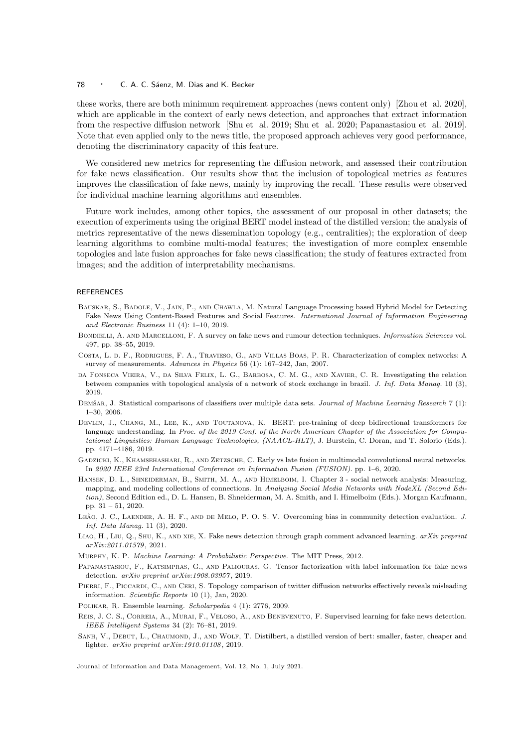these works, there are both minimum requirement approaches (news content only) [Zhou et al. 2020], which are applicable in the context of early news detection, and approaches that extract information from the respective diffusion network [Shu et al. 2019; Shu et al. 2020; Papanastasiou et al. 2019]. Note that even applied only to the news title, the proposed approach achieves very good performance, denoting the discriminatory capacity of this feature.

We considered new metrics for representing the diffusion network, and assessed their contribution for fake news classification. Our results show that the inclusion of topological metrics as features improves the classification of fake news, mainly by improving the recall. These results were observed for individual machine learning algorithms and ensembles.

Future work includes, among other topics, the assessment of our proposal in other datasets; the execution of experiments using the original BERT model instead of the distilled version; the analysis of metrics representative of the news dissemination topology (e.g., centralities); the exploration of deep learning algorithms to combine multi-modal features; the investigation of more complex ensemble topologies and late fusion approaches for fake news classification; the study of features extracted from images; and the addition of interpretability mechanisms.

#### REFERENCES

- Bauskar, S., Badole, V., Jain, P., and Chawla, M. Natural Language Processing based Hybrid Model for Detecting Fake News Using Content-Based Features and Social Features. International Journal of Information Engineering and Electronic Business 11 (4): 1–10, 2019.
- BONDIELLI, A. AND MARCELLONI, F. A survey on fake news and rumour detection techniques. Information Sciences vol. 497, pp. 38–55, 2019.
- Costa, L. d. F., Rodrigues, F. A., Travieso, G., and Villas Boas, P. R. Characterization of complex networks: A survey of measurements. Advances in Physics 56 (1): 167–242, Jan, 2007.
- da Fonseca Vieira, V., da Silva Felix, L. G., Barbosa, C. M. G., and Xavier, C. R. Investigating the relation between companies with topological analysis of a network of stock exchange in brazil. J. Inf. Data Manag. 10 (3), 2019.
- DEMŠAR, J. Statistical comparisons of classifiers over multiple data sets. Journal of Machine Learning Research 7 (1): 1–30, 2006.
- Devlin, J., Chang, M., Lee, K., and Toutanova, K. BERT: pre-training of deep bidirectional transformers for language understanding. In Proc. of the 2019 Conf. of the North American Chapter of the Association for Computational Linguistics: Human Language Technologies, (NAACL-HLT), J. Burstein, C. Doran, and T. Solorio (Eds.). pp. 4171–4186, 2019.
- Gadzicki, K., Khamsehashari, R., and Zetzsche, C. Early vs late fusion in multimodal convolutional neural networks. In 2020 IEEE 23rd International Conference on Information Fusion (FUSION). pp. 1–6, 2020.
- HANSEN, D. L., SHNEIDERMAN, B., SMITH, M. A., AND HIMELBOIM, I. Chapter 3 social network analysis: Measuring, mapping, and modeling collections of connections. In Analyzing Social Media Networks with NodeXL (Second Edition), Second Edition ed., D. L. Hansen, B. Shneiderman, M. A. Smith, and I. Himelboim (Eds.). Morgan Kaufmann, pp. 31 – 51, 2020.
- LEÃO, J. C., LAENDER, A. H. F., AND DE MELO, P. O. S. V. Overcoming bias in community detection evaluation. J. Inf. Data Manag. 11 (3), 2020.
- Liao, H., Liu, Q., Shu, K., and xie, X. Fake news detection through graph comment advanced learning. arXiv preprint arXiv:2011.01579 , 2021.
- Murphy, K. P. Machine Learning: A Probabilistic Perspective. The MIT Press, 2012.

Papanastasiou, F., Katsimpras, G., and Paliouras, G. Tensor factorization with label information for fake news detection. arXiv preprint arXiv:1908.03957, 2019.

PIERRI, F., PICCARDI, C., AND CERI, S. Topology comparison of twitter diffusion networks effectively reveals misleading information. Scientific Reports 10 (1), Jan, 2020.

Polikar, R. Ensemble learning. Scholarpedia 4 (1): 2776, 2009.

- Reis, J. C. S., Correia, A., Murai, F., Veloso, A., and Benevenuto, F. Supervised learning for fake news detection. IEEE Intelligent Systems 34 (2): 76–81, 2019.
- SANH, V., DEBUT, L., CHAUMOND, J., AND WOLF, T. Distilbert, a distilled version of bert: smaller, faster, cheaper and lighter. arXiv preprint arXiv:1910.01108 , 2019.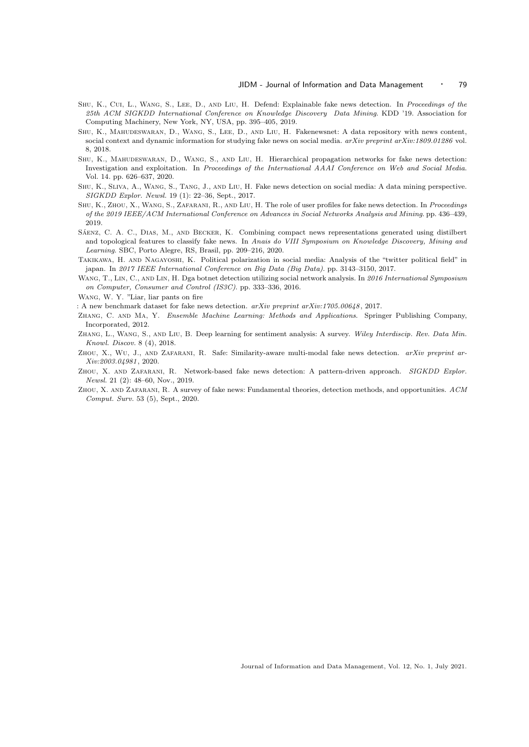- Shu, K., Cui, L., Wang, S., Lee, D., and Liu, H. Defend: Explainable fake news detection. In Proceedings of the 25th ACM SIGKDD International Conference on Knowledge Discovery Data Mining. KDD '19. Association for Computing Machinery, New York, NY, USA, pp. 395–405, 2019.
- Shu, K., Mahudeswaran, D., Wang, S., Lee, D., and Liu, H. Fakenewsnet: A data repository with news content, social context and dynamic information for studying fake news on social media. arXiv preprint arXiv:1809.01286 vol. 8, 2018.
- Shu, K., Mahudeswaran, D., Wang, S., and Liu, H. Hierarchical propagation networks for fake news detection: Investigation and exploitation. In Proceedings of the International AAAI Conference on Web and Social Media. Vol. 14. pp. 626–637, 2020.
- Shu, K., Sliva, A., Wang, S., Tang, J., and Liu, H. Fake news detection on social media: A data mining perspective. SIGKDD Explor. Newsl. 19 (1): 22–36, Sept., 2017.
- SHU, K., ZHOU, X., WANG, S., ZAFARANI, R., AND LIU, H. The role of user profiles for fake news detection. In Proceedings of the 2019 IEEE/ACM International Conference on Advances in Social Networks Analysis and Mining. pp. 436–439, 2019.
- SÁENZ, C. A. C., DIAS, M., AND BECKER, K. Combining compact news representations generated using distilbert and topological features to classify fake news. In Anais do VIII Symposium on Knowledge Discovery, Mining and Learning. SBC, Porto Alegre, RS, Brasil, pp. 209–216, 2020.
- Takikawa, H. and Nagayoshi, K. Political polarization in social media: Analysis of the "twitter political field" in japan. In 2017 IEEE International Conference on Big Data (Big Data). pp. 3143–3150, 2017.
- WANG, T., LIN, C., AND LIN, H. Dga botnet detection utilizing social network analysis. In 2016 International Symposium on Computer, Consumer and Control (IS3C). pp. 333–336, 2016.
- Wang, W. Y. "Liar, liar pants on fire

: A new benchmark dataset for fake news detection.  $arXiv$  preprint  $arXiv:1705.00648$ , 2017.

- Zhang, C. and Ma, Y. Ensemble Machine Learning: Methods and Applications. Springer Publishing Company, Incorporated, 2012.
- Zhang, L., Wang, S., and Liu, B. Deep learning for sentiment analysis: A survey. Wiley Interdiscip. Rev. Data Min. Knowl. Discov. 8 (4), 2018.
- ZHOU, X., WU, J., AND ZAFARANI, R. Safe: Similarity-aware multi-modal fake news detection. arXiv preprint ar-Xiv:2003.04981 , 2020.
- Zhou, X. and Zafarani, R. Network-based fake news detection: A pattern-driven approach. SIGKDD Explor. Newsl. 21 (2): 48–60, Nov., 2019.
- ZHOU, X. AND ZAFARANI, R. A survey of fake news: Fundamental theories, detection methods, and opportunities. ACM Comput. Surv. 53 (5), Sept., 2020.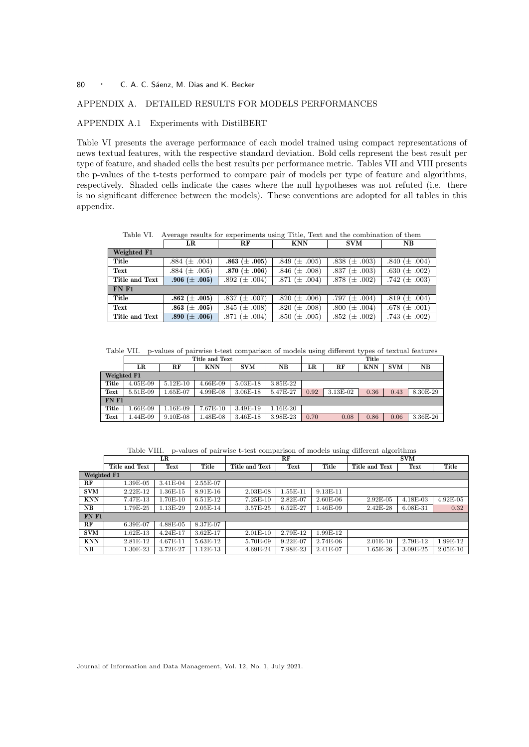# APPENDIX A. DETAILED RESULTS FOR MODELS PERFORMANCES

# APPENDIX A.1 Experiments with DistilBERT

Table VI presents the average performance of each model trained using compact representations of news textual features, with the respective standard deviation. Bold cells represent the best result per type of feature, and shaded cells the best results per performance metric. Tables VII and VIII presents the p-values of the t-tests performed to compare pair of models per type of feature and algorithms, respectively. Shaded cells indicate the cases where the null hypotheses was not refuted (i.e. there is no significant difference between the models). These conventions are adopted for all tables in this appendix.

Table VI. Average results for experiments using Title, Text and the combination of them

|                | LR                | RF                | <b>KNN</b>        | <b>SVM</b>         | $_{\rm NB}$        |  |  |  |
|----------------|-------------------|-------------------|-------------------|--------------------|--------------------|--|--|--|
| Weighted F1    |                   |                   |                   |                    |                    |  |  |  |
| Title          | .884 $(\pm .004)$ | .863 $(\pm .005)$ | .849 $(\pm .005)$ | .838 $(\pm .003)$  | .840 $(\pm .004)$  |  |  |  |
| Text           | .884 $(\pm .005)$ | .870 $(\pm .006)$ | .846 $(\pm .008)$ | .837 ( $\pm$ .003) | .630 ( $\pm$ .002) |  |  |  |
| Title and Text | .906 $(\pm .005)$ | .892 $(\pm .004)$ | .871 $(\pm .004)$ | .878 $(\pm .002)$  | .742 $(\pm .003)$  |  |  |  |
| FNF1           |                   |                   |                   |                    |                    |  |  |  |
| Title          | .862 $(\pm .005)$ | .837 $(\pm .007)$ | .820 $(\pm .006)$ | .797 $(\pm .004)$  | .819 $(\pm .004)$  |  |  |  |
| Text           | .863 $(\pm .005)$ | .845 $(\pm .008)$ | .820 $(\pm .008)$ | .800 ( $\pm$ .004) | .678 $(\pm .001)$  |  |  |  |
| Title and Text | .890 $(\pm .006)$ | .871 $(\pm .004)$ | .850 $(\pm .005)$ | .852 $(\pm .002)$  | .743 $(\pm .002)$  |  |  |  |

Table VII. p-values of pairwise t-test comparison of models using different types of textual features

|             | Title and Text |            |              |              |              |      |          | Title      |            |              |
|-------------|----------------|------------|--------------|--------------|--------------|------|----------|------------|------------|--------------|
|             | LR             | RF         | <b>KNN</b>   | <b>SVM</b>   | NB           | LR   | RF       | <b>KNN</b> | <b>SVM</b> | NΒ           |
| Weighted F1 |                |            |              |              |              |      |          |            |            |              |
| Title       | $4.05E-09$     | $5.12E-10$ | 4.66E-09     | 5.03E-18     | $3.85E - 22$ |      |          |            |            |              |
| Text        | 5.51E-09       | 1.65E-07   | 4.99E-08     | $3.06E - 18$ | 5.47E-27     | 0.92 | 3.13E-02 | 0.36       | 0.43       | 8.30E-29     |
| FNF1        |                |            |              |              |              |      |          |            |            |              |
| Title       | .66E-09        | 1.16E-09   | 7.67E-10     | 3.49E-19     | $1.16E-20$   |      |          |            |            |              |
| Text        | $.44E-09$      | $9.10E-08$ | $1.48E - 08$ | 3.46E-18     | 3.98E-23     | 0.70 | 0.08     | 0.86       | 0.06       | $3.36E - 26$ |

Table VIII. p-values of pairwise t-test comparison of models using different algorithms

|              | LR             |              |            | RF             |              |            | <b>SVM</b>     |              |            |
|--------------|----------------|--------------|------------|----------------|--------------|------------|----------------|--------------|------------|
|              | Title and Text | Text         | Title      | Title and Text | Text         | Title      | Title and Text | Text         | Title      |
| Weighted F1  |                |              |            |                |              |            |                |              |            |
| RF           | 1.39E-05       | 3.41E-04     | 2.55E-07   |                |              |            |                |              |            |
| <b>SVM</b>   | $2.22E-12$     | $1.36E-15$   | $8.91E-16$ | $2.03E-08$     | 1.55E-11     | 9.13E-11   |                |              |            |
| <b>KNN</b>   | 7.47E-13       | 1.70E-10     | $6.51E-12$ | 7.25E-10       | 2.82E-07     | $2.60E-06$ | 2.92E-05       | 4.18E-03     | $4.92E-05$ |
| $_{\rm NB}$  | 1.79E-25       | 1.13E-29     | $2.05E-14$ | 3.57E-25       | $6.52E - 27$ | 1.46E-09   | 2.42E-28       | $6.08E - 31$ | 0.32       |
| <b>FN F1</b> |                |              |            |                |              |            |                |              |            |
| $\bf RF$     | 6.39E-07       | 4.88E-05     | 8.37E-07   |                |              |            |                |              |            |
| <b>SVM</b>   | $1.62E-13$     | 4.24E-17     | $3.62E-17$ | $2.01E-10$     | 2.79E-12     | 1.99E-12   |                |              |            |
| <b>KNN</b>   | 2.81E-12       | $4.67E - 11$ | 5.63E-12   | 5.70E-09       | $9.22E-07$   | $2.74E-06$ | $2.01E-10$     | 2.79E-12     | 1.99E-12   |
| NB           | 1.30E-23       | 3.72E-27     | l.12E-13   | 4.69E-24       | 7.98E-23     | 2.41E-07   | $1.65E - 26$   | $3.09E - 25$ | $2.05E-10$ |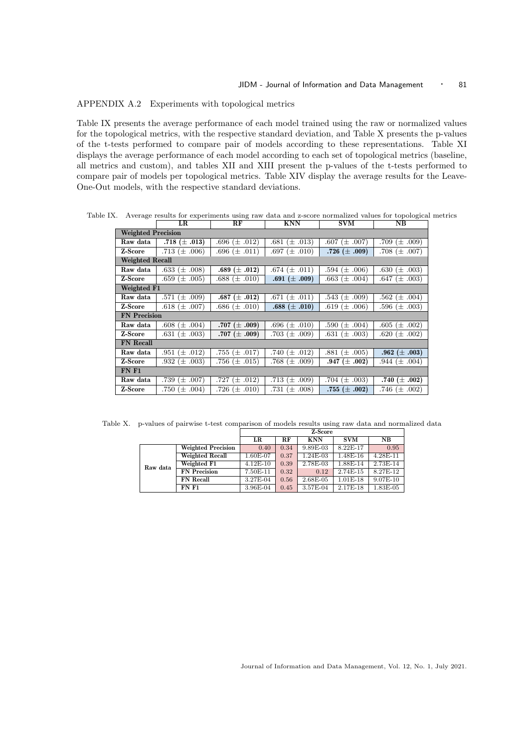# APPENDIX A.2 Experiments with topological metrics

Table IX presents the average performance of each model trained using the raw or normalized values for the topological metrics, with the respective standard deviation, and Table X presents the p-values of the t-tests performed to compare pair of models according to these representations. Table XI displays the average performance of each model according to each set of topological metrics (baseline, all metrics and custom), and tables XII and XIII present the p-values of the t-tests performed to compare pair of models per topological metrics. Table XIV display the average results for the Leave-One-Out models, with the respective standard deviations.

Table IX. Average results for experiments using raw data and z-score normalized values for topological metrics

|                           | LR.                 | RF                  | <b>KNN</b>          | <b>SVM</b>         | $_{\rm NB}$       |
|---------------------------|---------------------|---------------------|---------------------|--------------------|-------------------|
| <b>Weighted Precision</b> |                     |                     |                     |                    |                   |
| Raw data                  | .718 $(\pm .013)$   | $.696 \ (\pm .012)$ | .681 $(\pm .013)$   | $.607~(\pm .007)$  | .709 $(\pm .009)$ |
| Z-Score                   | .713 $(\pm .006)$   | .696 $(\pm .011)$   | .697 $(\pm .010)$   | .726 $(\pm .009)$  | .708 $(\pm .007)$ |
| <b>Weighted Recall</b>    |                     |                     |                     |                    |                   |
| Raw data                  | .633 $(\pm .008)$   | .689 $(\pm .012)$   | .674 $(\pm .011)$   | .594 $(\pm .006)$  | .630 $(\pm .003)$ |
| Z-Score                   | .659 ( $\pm$ .005)  | $.688 \ (\pm .010)$ | .691 $(\pm .009)$   | $.663~(\pm .004)$  | .647 $(\pm .003)$ |
| Weighted F1               |                     |                     |                     |                    |                   |
| Raw data                  | .571 $(\pm .009)$   | .687 $(\pm .012)$   | $.671 \ (\pm .011)$ | $.543~(\pm .009)$  | .562 $(\pm .004)$ |
| Z-Score                   | .618 $(\pm .007)$   | $.686 \ (\pm .010)$ | .688 $(\pm .010)$   | .619 $(\pm .006)$  | .596 $(\pm .003)$ |
| <b>FN</b> Precision       |                     |                     |                     |                    |                   |
| Raw data                  | $.608 \ (\pm .004)$ | .707 $(\pm .009)$   | .696 $(\pm .010)$   | .590 $(\pm .004)$  | .605 $(\pm .002)$ |
| Z-Score                   | .631 $(\pm .003)$   | .707 $(\pm .009)$   | .703 $(\pm .009)$   | .631 ( $\pm$ .003) | .620 $(\pm .002)$ |
| <b>FN</b> Recall          |                     |                     |                     |                    |                   |
| Raw data                  | .951 $(\pm .012)$   | .755 $(\pm .017)$   | .740 $(\pm .012)$   | .881 $(\pm .005)$  | .962 $(\pm .003)$ |
| Z-Score                   | .932 $(\pm .003)$   | .756 $(\pm .015)$   | .768 $(\pm .009)$   | .947 $(\pm .002)$  | .944 $(\pm .004)$ |
| FNF1                      |                     |                     |                     |                    |                   |
| Raw data                  | .739 (± .007)       | .727 $(\pm .012)$   | .713 $(\pm .009)$   | .704 $(\pm .003)$  | .740 $(\pm .002)$ |
| Z-Score                   | .750 $(\pm .004)$   | .726 $(\pm .010)$   | .731 $(\pm .008)$   | .755 $(\pm .002)$  | .746 $(\pm .002)$ |

Table X. p-values of pairwise t-test comparison of models results using raw data and normalized data

|          |                           | Z-Score    |      |            |            |              |  |
|----------|---------------------------|------------|------|------------|------------|--------------|--|
|          |                           | LR         | RF.  | <b>KNN</b> | <b>SVM</b> | NВ           |  |
|          | <b>Weighted Precision</b> | 0.40       | 0.34 | 9.89E-03   | 8.22E-17   | 0.95         |  |
|          | Weighted Recall           | 1.60E-07   | 0.37 | 1.24E-03   | 1.48E-16   | 4.28E-11     |  |
| Raw data | Weighted F1               | $4.12E-10$ | 0.39 | 2.78E-03   | 1.88E-14   | 2.73E-14     |  |
|          | <b>FN</b> Precision       | 7.50E-11   | 0.32 | 0.12       | 2.74E-15   | 8.27E-12     |  |
|          | <b>FN</b> Recall          | 3.27E-04   | 0.56 | 2.68E-05   | $1.01E-18$ | $9.07E - 10$ |  |
|          | FNF1                      | 3.96E-04   | 0.45 | 3.57E-04   | 2.17E-18   | 1.83E-05     |  |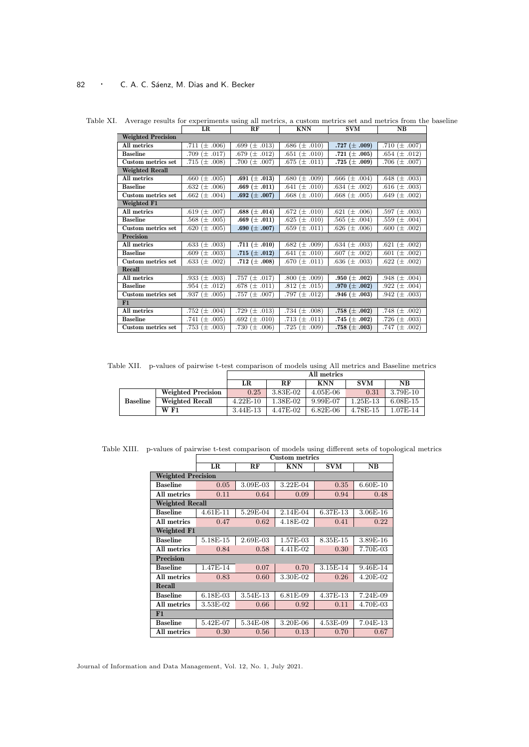|                           | LR.                  | R.F                 | KNN                 | <b>SVM</b>         | <b>NB</b>           |
|---------------------------|----------------------|---------------------|---------------------|--------------------|---------------------|
| <b>Weighted Precision</b> |                      |                     |                     |                    |                     |
| All metrics               | $(\pm .006)$<br>.711 | .699 $(\pm .013)$   | $.686 \ (\pm .010)$ | .727 $(\pm .009)$  | .710 $(\pm .007)$   |
| <b>Baseline</b>           | .709 $(\pm .017)$    | .679 $(\pm .012)$   | .651 $(\pm .010)$   | .721 $(\pm .005)$  | .654 $(\pm .012)$   |
| Custom metrics set        | .715 $(\pm .008)$    | .700 $(\pm .007)$   | $.675 \ (\pm .011)$ | .725 $(\pm .009)$  | .706 $(\pm .007)$   |
| <b>Weighted Recall</b>    |                      |                     |                     |                    |                     |
| All metrics               | .660 $(\pm .005)$    | .691 $(\pm .013)$   | $.680 \ (\pm .009)$ | .666 $(\pm .004)$  | .648 $(\pm .003)$   |
| <b>Baseline</b>           | .632 $(\pm .006)$    | .669 $(\pm .011)$   | .641 $(\pm .010)$   | .634 $(\pm .002)$  | .616 $(\pm .003)$   |
| Custom metrics set        | .662 $(\pm .004)$    | $.692\ (\pm .007)$  | $.668 \ (\pm .010)$ | .668 $(\pm .005)$  | .649 $(\pm .002)$   |
| Weighted F1               |                      |                     |                     |                    |                     |
| All metrics               | .619 $(\pm .007)$    | $.688\ (\pm .014)$  | $.672 \ (\pm .010)$ | .621 ( $\pm$ .006) | .597 $(\pm .003)$   |
| <b>Baseline</b>           | .568 $(\pm .005)$    | .669 $(\pm .011)$   | $.625 \ (\pm .010)$ | .565 $(\pm .004)$  | .559 $(\pm .004)$   |
| Custom metrics set        | .620 $(\pm .005)$    | .690 $(\pm .007)$   | $.659 \ (\pm .011)$ | .626 $(\pm .006)$  | $.600 \ (\pm .002)$ |
| <b>Precision</b>          |                      |                     |                     |                    |                     |
| All metrics               | .633 $(\pm .003)$    | .711 $(\pm .010)$   | $.682 \ (\pm .009)$ | .634 $(\pm .003)$  | .621 $(\pm .002)$   |
| <b>Baseline</b>           | $.609 \ (\pm .003)$  | $.715\ (\pm\ .012)$ | .641 $(\pm .010)$   | .607 ( $\pm$ .002) | $.601 (\pm .002)$   |
| Custom metrics set        | .633 ( $\pm$ .002)   | .712 $(\pm .008)$   | $.670 \ (\pm .011)$ | $.636 (\pm .003)$  | $.622 \ (\pm .002)$ |
| Recall                    |                      |                     |                     |                    |                     |
| All metrics               | .933 $(\pm .003)$    | .757 $(\pm .017)$   | $.800 \ (\pm .009)$ | .950 $(\pm .002)$  | .948 $(\pm .004)$   |
| <b>Baseline</b>           | .954 $(\pm .012)$    | $.678 \ (\pm .011)$ | .812 $(\pm .015)$   | .970 $(\pm .002)$  | .922 $(\pm .004)$   |
| Custom metrics set        | .937 $(\pm .005)$    | .757 $(\pm .007)$   | .797 $(\pm .012)$   | .946 $(\pm .003)$  | .942 $(\pm .003)$   |
| F1                        |                      |                     |                     |                    |                     |
| All metrics               | .752 $(\pm .004)$    | .729 $(\pm .013)$   | .734 $(\pm .008)$   | $.758\ (\pm .002)$ | .748 $(\pm .002)$   |
| <b>Baseline</b>           | .741 $(\pm .005)$    | .692 $(\pm .010)$   | .713 $(\pm .011)$   | .745 $(\pm .002)$  | .726 $(\pm .003)$   |
| Custom metrics set        | .753 $(\pm .003)$    | .730 $(\pm .006)$   | .725 $(\pm .009)$   | $.758\ (\pm .003)$ | .747 $(\pm .002)$   |

Table XI. Average results for experiments using all metrics, a custom metrics set and metrics from the baseline

Table XII. p-values of pairwise t-test comparison of models using All metrics and Baseline metrics

|                 |                    |              | All metrics |            |            |            |  |  |  |
|-----------------|--------------------|--------------|-------------|------------|------------|------------|--|--|--|
|                 |                    | LR           | $R$ $F$     | <b>KNN</b> | <b>SVM</b> | <b>NB</b>  |  |  |  |
|                 | Weighted Precision | 0.25         | 3.83E-02    | $4.05E-06$ | 0.31       | $3.79E-10$ |  |  |  |
| <b>Baseline</b> | Weighted Recall    | $4.22E - 10$ | 1.38E-02    | 9.99E-07   | $1.25E-13$ | $6.08E-15$ |  |  |  |
|                 | W F1               | 3.44E-13     | 4.47E-02    | $6.82E-06$ | 4.78E-15   | $1.07E-14$ |  |  |  |

Table XIII. p-values of pairwise t-test comparison of models using different sets of topological metrics

|                           | <b>Custom metrics</b> |          |                      |            |          |  |  |  |  |  |
|---------------------------|-----------------------|----------|----------------------|------------|----------|--|--|--|--|--|
|                           | LR                    | RF       | <b>KNN</b>           | <b>SVM</b> | NB       |  |  |  |  |  |
| <b>Weighted Precision</b> |                       |          |                      |            |          |  |  |  |  |  |
| <b>Baseline</b>           | 0.05                  | 3.09E-03 | 3.22E-04             | 0.35       | 6.60E-10 |  |  |  |  |  |
| All metrics               | 0.11                  | 0.64     | 0.09                 | 0.94       | 0.48     |  |  |  |  |  |
| <b>Weighted Recall</b>    |                       |          |                      |            |          |  |  |  |  |  |
| <b>Baseline</b>           | $4.61E-11$            | 5.29E-04 | 2.14E-04             | 6.37E-13   | 3.06E-16 |  |  |  |  |  |
| All metrics               | 0.47                  | 0.62     | 4.18E-02             | 0.41       | 0.22     |  |  |  |  |  |
| Weighted F1               |                       |          |                      |            |          |  |  |  |  |  |
| <b>Baseline</b>           | 5.18E-15              | 2.69E-03 | 1.57E-03             | 8.35E-15   | 3.89E-16 |  |  |  |  |  |
| All metrics               | 0.84                  | 0.58     | 4.41E-02             | 0.30       | 7.70E-03 |  |  |  |  |  |
| <b>Precision</b>          |                       |          |                      |            |          |  |  |  |  |  |
| <b>Baseline</b>           | 1.47E-14              | 0.07     | 0.70                 | 3.15E-14   | 9.46E-14 |  |  |  |  |  |
| All metrics               | 0.83                  | 0.60     | 3.30E-02             | 0.26       | 4.20E-02 |  |  |  |  |  |
| Recall                    |                       |          |                      |            |          |  |  |  |  |  |
| <b>Baseline</b>           | 6.18E-03              | 3.54E-13 | 6.81E-09<br>4.37E-13 |            | 7.24E-09 |  |  |  |  |  |
| All metrics               | 3.53E-02              | 0.66     | 0.92                 | 0.11       | 4.70E-03 |  |  |  |  |  |
| F1                        |                       |          |                      |            |          |  |  |  |  |  |
| <b>Baseline</b>           | 5.42E-07              | 5.34E-08 | 3.20E-06             | 4.53E-09   | 7.04E-13 |  |  |  |  |  |
| All metrics               | 0.30                  | 0.56     | 0.13                 | 0.70       | 0.67     |  |  |  |  |  |

Journal of Information and Data Management, Vol. 12, No. 1, July 2021.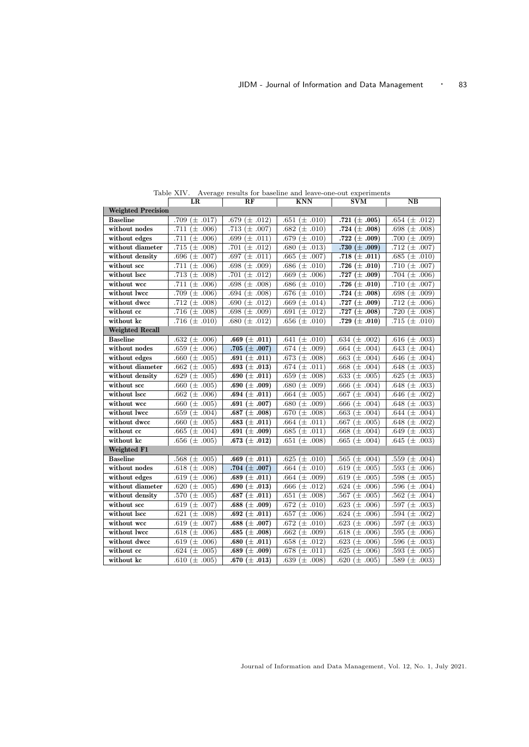|                           | LR                   | RF                   | KNN                  | SVM                             | NΒ                   |  |  |  |  |  |
|---------------------------|----------------------|----------------------|----------------------|---------------------------------|----------------------|--|--|--|--|--|
| <b>Weighted Precision</b> |                      |                      |                      |                                 |                      |  |  |  |  |  |
| <b>Baseline</b>           | .709 $(\pm .017)$    | $(\pm .012)$<br>.679 | $(\pm .010)$<br>.651 | .721 $(\pm .005)$               | $(\pm .012)$<br>.654 |  |  |  |  |  |
| without nodes             | $(\pm .006)$<br>.711 | $(\pm .007)$<br>.713 | $\pm .010$<br>.682   | .724 $(\pm .008)$               | $(\pm .008)$<br>.698 |  |  |  |  |  |
| without edges             | $(\pm .006)$<br>.711 | $(\pm .011)$<br>.699 | $(\pm .010)$<br>.679 | .722 $(\pm .009)$               | .700<br>$(\pm .009)$ |  |  |  |  |  |
| without diameter          | .715 $(\pm .008)$    | .701<br>$(\pm .012)$ | $(\pm .013)$<br>.680 | .730 $(\pm .009)$               | .712 $(\pm .007)$    |  |  |  |  |  |
| without density           | $(\pm .007)$<br>.696 | .697<br>$(\pm .011)$ | $(\pm .007)$<br>.665 | .718 $(\pm .011)$               | .685<br>$(\pm .010)$ |  |  |  |  |  |
| without scc               | $(\pm .006)$<br>.711 | $(\pm .009)$<br>.698 | .686 $(\pm .010)$    | .726 $(\pm .010)$               | $(\pm .007)$<br>.710 |  |  |  |  |  |
| without lscc              | .713 ( $\pm$ .008)   | $(\pm .012)$<br>.701 | .669<br>$(\pm .006)$ | .727 $(\pm .009)$               | $(\pm .006)$<br>.704 |  |  |  |  |  |
| without wcc               | $(\pm .006)$<br>.711 | .698<br>$(\pm .008)$ | .686<br>$(\pm .010)$ | .726 $(\pm .010)$               | .710<br>$(\pm .007)$ |  |  |  |  |  |
| without lwcc              | .709 $(\pm .006)$    | .694<br>$(\pm .008)$ | .676<br>$(\pm .010)$ | .724 $(\pm .008)$               | .698<br>$(\pm .009)$ |  |  |  |  |  |
| without dwcc              | .712 $(\pm .008)$    | $(\pm .012)$<br>.690 | .669 ( $\pm$ .014)   | .727 $(\pm .009)$               | $(\pm .006)$<br>.712 |  |  |  |  |  |
| without cc                | .716 $(\pm .008)$    | $(\pm .009)$<br>.698 | .691<br>$(\pm .012)$ | .727 $(\pm .008)$               | $(\pm .008)$<br>.720 |  |  |  |  |  |
| without kc                | .716 $(\pm .010)$    | .680 ( $\pm$ .012)   | .656 ( $\pm$ .010)   | .729 $(\pm .010)$               | .715 $(\pm .010)$    |  |  |  |  |  |
| <b>Weighted Recall</b>    |                      |                      |                      |                                 |                      |  |  |  |  |  |
| <b>Baseline</b>           | .632 $(\pm .006)$    | .669 $(\pm .011)$    | .641 $(\pm .010)$    | .634 $(\pm .002)$               | .616 $(\pm .003)$    |  |  |  |  |  |
| without nodes             | .659<br>$(\pm .006)$ | .705 $(\pm .007)$    | .674 $(\pm .009)$    | .664<br>$(\pm .004)$            | .643 ( $\pm$ .004)   |  |  |  |  |  |
| without edges             | $(\pm .005)$<br>.660 | .691<br>$(\pm .011)$ | .673 $(\pm .008)$    | $(\pm .004)$<br>.663            | $(\pm .004)$<br>.646 |  |  |  |  |  |
| without diameter          | .662<br>$(\pm .005)$ | .693 $(\pm .013)$    | .674 $(\pm .011)$    | .668<br>$(\pm .004)$            | .648<br>$(\pm .003)$ |  |  |  |  |  |
| without density           | .629<br>$(\pm .005)$ | .690 $(\pm .011)$    | .659<br>$(\pm .008)$ | $(\pm .005)$<br>.633            | .625<br>$(\pm .003)$ |  |  |  |  |  |
| without scc               | $(\pm .005)$<br>.660 | .690 $(\pm .009)$    | $(\pm .009)$<br>.680 | $(\pm .004)$<br>.666            | $(\pm .003)$<br>.648 |  |  |  |  |  |
| without lscc              | .662 ( $\pm$ .006)   | .694 $(\pm .011)$    | .664 $(\pm .005)$    | $(\pm .004)$<br>.667            | $(\pm .002)$<br>.646 |  |  |  |  |  |
| without wcc               | .660 ( $\pm$ .005)   | .691 ( $\pm$ .007)   | $.680 \ (\pm .009)$  | .666<br>$(\pm .004)$            | .648<br>$(\pm .003)$ |  |  |  |  |  |
| without lwcc              | .659 ( $\pm$ .004)   | .687 $(\pm .008)$    | .670 $(\pm .008)$    | .663<br>$(\pm .004)$            | .644 $(\pm .004)$    |  |  |  |  |  |
| without dwcc              | .660 ( $\pm$ .005)   | .683 $(\pm .011)$    | .664 $(\pm .011)$    | $(\pm .005)$<br>.667            | .648 $(\pm .002)$    |  |  |  |  |  |
| without cc                | .665 ( $\pm$ .004)   | .691 $(\pm .009)$    | .685 $(\pm .011)$    | .668<br>$(\pm .004)$            | .649<br>$(\pm .003)$ |  |  |  |  |  |
| without kc                | .656 $(\pm .005)$    | .673 $(\pm .012)$    | .651 ( $\pm$ .008)   | .665 ( $\pm$ .004)              | .645 $(\pm .003)$    |  |  |  |  |  |
| Weighted F1               |                      |                      |                      |                                 |                      |  |  |  |  |  |
| <b>Baseline</b>           | .568 $(\pm .005)$    | .669 $(\pm .011)$    | .625 $(\pm .010)$    | .565 $(\pm .004)$               | $(\pm .004)$<br>.559 |  |  |  |  |  |
| without nodes             | .618 ( $\pm$ .008)   | .704 $(\pm .007)$    | .664 $(\pm .010)$    | $(\pm .005)$<br>.619            | $(\pm .006)$<br>.593 |  |  |  |  |  |
| without edges             | .619 ( $\pm$ .006)   | .689 $(\pm .011)$    | $.664 \ (\pm .009)$  | .619 ( $\pm$ .005)              | .598 $(\pm .005)$    |  |  |  |  |  |
| without diameter          | .620 ( $\pm$ .005)   | .690 $(\pm .013)$    | .666 ( $\pm$ .012)   | .624 $(\pm .006)$               | .596<br>$(\pm .004)$ |  |  |  |  |  |
| without density           | .570 $(\pm .005)$    | .687 $(\pm .011)$    | .651 ( $\pm$ .008)   | .567 ( $\pm$ .005)              | .562<br>$(\pm .004)$ |  |  |  |  |  |
| without scc               | .619<br>$(\pm .007)$ | .688 $(\pm .009)$    | .672<br>$(\pm .010)$ | .623 ( $\pm$ .006)              | $(\pm .003)$<br>.597 |  |  |  |  |  |
| without lscc              | .621<br>$(\pm .008)$ | .692 $(\pm .011)$    | .657<br>$(\pm .006)$ | .624<br>$(\pm .006)$            | .594<br>$(\pm .002)$ |  |  |  |  |  |
| without wcc               | .619 ( $\pm$ .007)   | .688 $(\pm .007)$    | .672<br>$(\pm .010)$ | .623<br>$(\pm .006)$            | .597<br>$(\pm .003)$ |  |  |  |  |  |
| without lwcc              | $(\pm .006)$<br>.618 | .685<br>$(\pm .008)$ | $(\pm .009)$<br>.662 | $(\pm .006)$<br>.618            | .595<br>$(\pm .006)$ |  |  |  |  |  |
| without dwcc              | .619<br>$(\pm .006)$ | .680 $(\pm .011)$    | .658<br>$(\pm .012)$ | $\overline{(\pm .006)}$<br>.623 | .596<br>$(\pm .003)$ |  |  |  |  |  |
| without cc                | .624 $(\pm .005)$    | .689 $(\pm .009)$    | .678<br>$(\pm .011)$ | .625 ( $\pm$ .006)              | .593<br>$(\pm .005)$ |  |  |  |  |  |
| without kc                | .610 $(\pm .005)$    | .670 $(\pm .013)$    | .639 ( $\pm$ .008)   | .620 ( $\pm$ .005)              | .589 $(\pm .003)$    |  |  |  |  |  |

Table XIV. Average results for baseline and leave-one-out experiments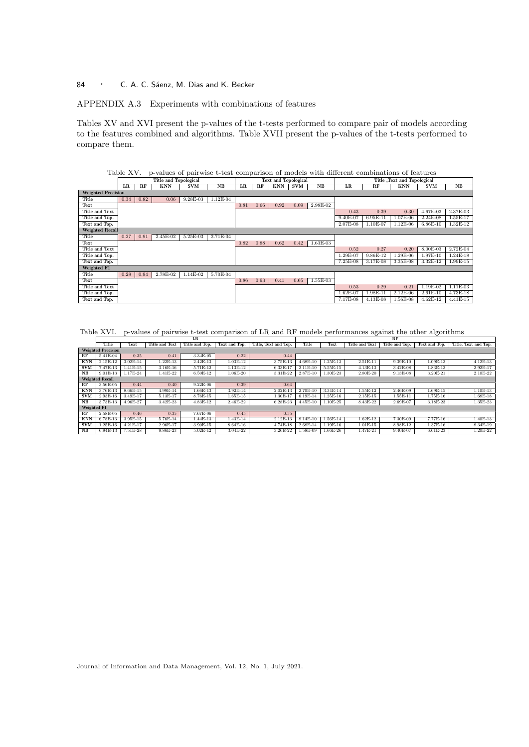# APPENDIX A.3 Experiments with combinations of features

Tables XV and XVI present the p-values of the t-tests performed to compare pair of models according to the features combined and algorithms. Table XVII present the p-values of the t-tests performed to compare them.

# Table XV. p-values of pairwise t-test comparison of models with different combinations of features<br>Title and Topological Text and Topological Title ,Text and Topological<br>TER RF KNN SVM NB LR RF KNN SVM NB LR RF KNN SVM NB

|                           | ыĸ   | ĸr   | <b>KINN</b> | SVM        | NБ         | LК   | кr   | <b>KININ</b> | SVM  | INБ        | LК         | ĸr         | <b>KININ</b> | SVM        | NБ         |
|---------------------------|------|------|-------------|------------|------------|------|------|--------------|------|------------|------------|------------|--------------|------------|------------|
| <b>Weighted Precision</b> |      |      |             |            |            |      |      |              |      |            |            |            |              |            |            |
| Title                     | 0.34 | 0.82 | 0.06        | 9.28E-03   | $1.12E-04$ |      |      |              |      |            |            |            |              |            |            |
| Text                      |      |      |             |            |            | 0.81 | 0.66 | 0.92         | 0.09 | 2.98E-02   |            |            |              |            |            |
| Title and Text            |      |      |             |            |            |      |      |              |      |            | 0.43       | 0.39       | 0.30         | 4.67E-03   | 2.37E-03   |
| Title and Top.            |      |      |             |            |            |      |      |              |      |            | 9.40E-07   | $6.95E-11$ | 1.07E-06     | $2.24E-08$ | 1.55E-17   |
| Text and Top.             |      |      |             |            |            |      |      |              |      |            | $2.07E-08$ | $1.10E-07$ | $1.12E-06$   | $6.86E-10$ | $1.32E-12$ |
| <b>Weighted Recall</b>    |      |      |             |            |            |      |      |              |      |            |            |            |              |            |            |
| Title                     | 0.27 | 0.91 | 2.45E-02    | 5.25E-03   | 3.71E-04   |      |      |              |      |            |            |            |              |            |            |
| Text                      |      |      |             |            |            | 0.82 | 0.88 | 0.62         | 0.42 | $1.63E-03$ |            |            |              |            |            |
| Title and Text            |      |      |             |            |            |      |      |              |      |            | 0.52       | 0.27       | 0.20         | 8.00E-03   | $2.72E-04$ |
| Title and Top.            |      |      |             |            |            |      |      |              |      |            | 1.29E-07   | 9.86E-12   | $1.29E-06$   | 1.97E-10   | $1.24E-18$ |
| Text and Top.             |      |      |             |            |            |      |      |              |      |            | 7.25E-08   | 3.17E-08   | 3.35E-08     | 3.32E-12   | 1.99E-15   |
| Weighted F1               |      |      |             |            |            |      |      |              |      |            |            |            |              |            |            |
| Title                     | 0.28 | 0.94 | 2.78E-02    | $1.14E-02$ | $5.70E-04$ |      |      |              |      |            |            |            |              |            |            |
| Text                      |      |      |             |            |            | 0.86 | 0.93 | 0.41         | 0.65 | 1.55E-03   |            |            |              |            |            |
| <b>Title and Text</b>     |      |      |             |            |            |      |      |              |      |            | 0.53       | 0.29       | 0.21         | 1.19E-02   | $1.11E-03$ |
| Title and Top.            |      |      |             |            |            |      |      |              |      |            | $1.62E-07$ | $.98E-11$  | $2.12E-06$   | $2.61E-10$ | 4.73E-18   |
| Text and Top.             |      |      |             |            |            |      |      |              |      |            | 7.17E-08   | 4.13E-08   | 1.56E-08     | $4.62E-12$ | $4.41E-15$ |

Table XVI. p-values of pairwise t-test comparison of LR and RF models performances against the other algorithms

|                        | LR                        |            |                |                |               |                      |            |            |                | RF             |               |                      |
|------------------------|---------------------------|------------|----------------|----------------|---------------|----------------------|------------|------------|----------------|----------------|---------------|----------------------|
|                        | Title                     | Text       | Title and Text | Title and Top. | Text and Top. | Title. Text and Top. | Title      | Text       | Title and Text | Title and Top. | Text and Top. | Title, Text and Top. |
|                        | <b>Weighted Precision</b> |            |                |                |               |                      |            |            |                |                |               |                      |
| <b>RF</b>              | 5.41E-04                  | 0.35       | 0.41           | 3.34E-05       | 0.22          | 0.44                 |            |            |                |                |               |                      |
| <b>KNN</b>             | 2.15E-12                  | $3.02E-14$ | $1.22E-13$     | $2.42E-13$     | 1.03E-12      | 3.75E-13             | 4.68E-10   | .25E-13    | 2.51E-11       | 9.39E-10       | 1.09E-13      | 4.12E-13             |
| <b>SVM</b>             | 7.47E-13                  | 1.41E-15   | 3.16E-16       | 5.71E-12       | 1.13E-12      | 6.33E-17             | 2.11E-10   | 5.55E-15   | $4.13E-13$     | 3.42E-08       | 1.83E-13      | 2.92E-17             |
| NB                     | 9.01E-13                  | 1.17E-24   | 1.41E-22       | 6.50E-12       | 1.06E-20      | 3.31E-22             | 2.87E-10   | 1.30E-23   | 2.80E-20       | 9.13E-08       | 3.20E-21      | 2.10E-22             |
| <b>Weighted Recall</b> |                           |            |                |                |               |                      |            |            |                |                |               |                      |
| <b>RF</b>              | 3.56E-05                  | 0.44       | 0.40           | 9.22E-06       | 0.39          | 0.64                 |            |            |                |                |               |                      |
| <b>KNN</b>             | 3.76E-13                  | 8.66E-15   | 4.99E-14       | 1.66E-13       | 3.92E-14      | 2.02E-13             | 2.70E-10   | 3.34E-14   | $1.55E-12$     | 2.46E-09       | 1.69E-15      | 1.10E-13             |
| <b>SVM</b>             | 2.93E-16                  | 3.49E-17   | 5.13E-17       | 8.76E-15       | 1.65E-15      | 1.30E-17             | 6.19E-14   | $.25E-16$  | 2.15E-15       | 1.55E-11       | 1.75E-16      | 1.68E-18             |
| $_{\rm NB}$            | 3.73E-13                  | 4.96E-27   | $3.42E - 23$   | 4.83E-12       | 2.46E-22      | 6.28E-23             | $4.45E-10$ | 1.10E-25   | 8.43E-22       | 2.69E-07       | 3.18E-23      | 1.35E-23             |
| Weighted F1            |                           |            |                |                |               |                      |            |            |                |                |               |                      |
| <b>RF</b>              | 2.58E-05                  | 0.46       | 0.35           | 7.67E-06       | 0.45          | 0.55                 |            |            |                |                |               |                      |
| <b>KNN</b>             | 6.78E-13                  | 3.95E-15   | 5.76E-14       | 1.44E-13       | 1.43E-14      | 2.12E-13             | 8.14E-10   | 1.56E-14   | 1.62E-12       | 7.30E-09       | 7.77E-16      | 1.40E-13             |
| <b>SVM</b>             | 1.25E-16                  | 4.21E-17   | 2.96E-17       | 3.90E-15       | 8.64E-16      | 4.74E-18             | 2.68E-14   | $1.19E-16$ | 1.01E-15       | 8.98E-12       | 1.37E-16      | 8.34E-19             |
| NB                     | 6.94E-13                  | 7.51E-28   | 9.86E-23       | 5.02E-12       | 3.04E-22      | 3.26E-22             | 1.58E-09   | 1.66E-26   | 1.47E-21       | 9.40E-07       | 6.61E-23      | 1.20E-22             |